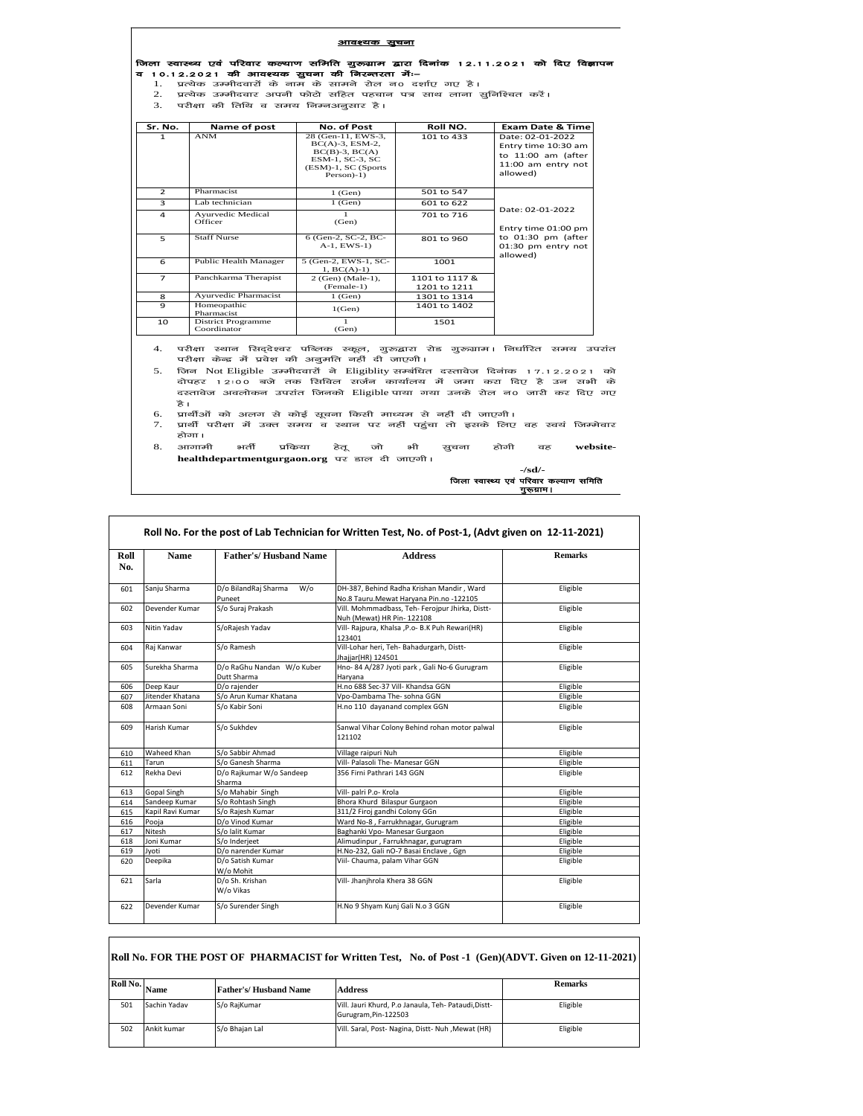| आवश्यक सूचना |  |  |  |  |  |  |  |                                                                                           |  |  |
|--------------|--|--|--|--|--|--|--|-------------------------------------------------------------------------------------------|--|--|
|              |  |  |  |  |  |  |  | जिला स्वास्थ्य एवं परिवार कल्याण समिति गुरूग्राम द्वारा दिनांक 12.11.2021 को दिए विज्ञापन |  |  |

Ξ

व 10.12.2021 की आवश्यक सुचना की निरन्तरता में:-

1. प्रत्येक उम्मीदवारों के नाम के सामने रोल न0 दर्शाए गए है।<br>2. प्रत्येक उम्मीदवार अपनी फोटो सहित पहचान पत्र साथ लाना सुनिश्चित करें।<br>3. परीक्षा की तिथि व समय निम्नअनुसार है।

 $\mathbf{I}$ 

| Sr. No.        | Name of post                             | No. of Post                                                                                                                  | Roll NO.                       | <b>Exam Date &amp; Time</b>                                                                     |
|----------------|------------------------------------------|------------------------------------------------------------------------------------------------------------------------------|--------------------------------|-------------------------------------------------------------------------------------------------|
| 1              | <b>ANM</b>                               | 28 (Gen-11, EWS-3,<br>$BC(A)-3$ , $ESM-2$ ,<br>$BC(B)-3$ , $BC(A)$<br>ESM-1, SC-3, SC<br>(ESM)-1, SC (Sports<br>$Person$ -1) | 101 to 433                     | Date: 02-01-2022<br>Entry time 10:30 am<br>to 11:00 am (after<br>11:00 am entry not<br>allowed) |
| $\mathcal{P}$  | Pharmacist                               | $1$ (Gen)                                                                                                                    | 501 to 547                     |                                                                                                 |
| 3              | Lab technician                           | $1$ (Gen)                                                                                                                    | 601 to 622                     |                                                                                                 |
| $\overline{a}$ | Ayurvedic Medical<br>Officer             | (Gen)                                                                                                                        | 701 to 716                     | Date: 02-01-2022<br>Entry time 01:00 pm                                                         |
| 5              | <b>Staff Nurse</b>                       | 6 (Gen-2, SC-2, BC-<br>$A-1$ , EWS-1)                                                                                        | 801 to 960                     | to 01:30 pm (after<br>01:30 pm entry not<br>allowed)                                            |
| 6              | Public Health Manager                    | 5 (Gen-2, EWS-1, SC-<br>$1, BC(A)-1)$                                                                                        | 1001                           |                                                                                                 |
| $\overline{ }$ | Panchkarma Therapist                     | 2 (Gen) (Male-1),<br>(Female-1)                                                                                              | 1101 to 1117 &<br>1201 to 1211 |                                                                                                 |
| 8              | Ayurvedic Pharmacist                     | $1$ (Gen)                                                                                                                    | 1301 to 1314                   |                                                                                                 |
| $\mathbf{Q}$   | Homeopathic<br>Pharmacist                | 1(Gen)                                                                                                                       | 1401 to 1402                   |                                                                                                 |
| 10             | <b>District Programme</b><br>Coordinator | (Gen)                                                                                                                        | 1501                           |                                                                                                 |

4. परीक्षा स्थान सिद्देश्वर पब्लिक स्कूल, गुरुद्वारा रोड गुरुग्राम। निर्धारित समय उपरांत<br>परीक्षा केन्द्र में प्रवेश की अनुमति नहीं दी जाएगी।

- 5. जिन Not Eligible उम्मीदवारों ने Eligiblity सम्बंधित दस्तावेज दिनांक 17.12.2021 को<br>दोपहर 12:00 बजे तक सिविल सर्जन कार्यालय में जमा करा दिए है उन सभी के nksigj 12%00 cts rd flfoy ltZUk dk;kZy; esa tek djk fn, gS mu lHkh d s दस्तावेज अवलोकन उपरांत जिनको Eligible पाया गया उनके रोल न0 जारी कर दिए गए है।<br>6. प्रार्थीओं को अलग से कोई सूचना किसी माध्यम से नहीं दी जाएगी।
- 
- होगा।<br>आगामी
- 7. प्रार्थी परीक्षा में उक्त समय व स्थान पर नहीं पहुंचा तो इसके लिए वह स्वयं जिम्मेवार<br>होगा।<br>8. आगामी भर्ती प्रकिया हेतू जो भी सुचना होगी वह website-<br>healthdepartmentgurgaon.org पर डाल दी जाएगी।<br> 8. आगामी भर्ती प्रकिया हेतू जो भी सुचना होगी वह website**healthdepartmentgurgaon.org** पर डाल दी जाएगी।

 **-/sd/-**  $\frac{1}{2\pi}$ xica $\frac{1}{2\pi}$ 

| Roll<br>No. | <b>Name</b>      | <b>Father's/Husband Name</b>              | <b>Address</b>                                                                        | <b>Remarks</b> |
|-------------|------------------|-------------------------------------------|---------------------------------------------------------------------------------------|----------------|
| 601         | Sanju Sharma     | D/o BilandRaj Sharma<br>$W$ /o<br>Puneet  | DH-387, Behind Radha Krishan Mandir, Ward<br>No.8 Tauru. Mewat Haryana Pin.no -122105 | Eligible       |
| 602         | Devender Kumar   | S/o Suraj Prakash                         | Vill. Mohmmadbass, Teh- Ferojpur Jhirka, Distt-<br>Nuh (Mewat) HR Pin-122108          | Eligible       |
| 603         | Nitin Yadav      | S/oRajesh Yadav                           | Vill- Rajpura, Khalsa , P.o- B.K Puh Rewari(HR)<br>123401                             | Eligible       |
| 604         | Raj Kanwar       | S/o Ramesh                                | Vill-Lohar heri, Teh- Bahadurgarh, Distt-<br>Jhajjar(HR) 124501                       | Eligible       |
| 605         | Surekha Sharma   | D/o RaGhu Nandan W/o Kuber<br>Dutt Sharma | Hno-84 A/287 Jyoti park, Gali No-6 Gurugram<br>Harvana                                | Eligible       |
| 606         | Deep Kaur        | D/o rajender                              | H.no 688 Sec-37 Vill- Khandsa GGN                                                     | Eligible       |
| 607         | Jitender Khatana | S/o Arun Kumar Khatana                    | Vpo-Dambama The- sohna GGN                                                            | Eligible       |
| 608         | Armaan Soni      | S/o Kabir Soni                            | H.no 110 dayanand complex GGN                                                         | Eligible       |
| 609         | Harish Kumar     | S/o Sukhdev                               | Sanwal Vihar Colony Behind rohan motor palwal<br>121102                               | Eligible       |
| 610         | Waheed Khan      | S/o Sabbir Ahmad                          | Village raipuri Nuh                                                                   | Eligible       |
| 611         | Tarun            | S/o Ganesh Sharma                         | Vill- Palasoli The- Manesar GGN                                                       | Eligible       |
| 612         | Rekha Devi       | D/o Rajkumar W/o Sandeep<br>Sharma        | 356 Firni Pathrari 143 GGN                                                            | Eligible       |
| 613         | Gopal Singh      | S/o Mahabir Singh                         | Vill- palri P.o- Krola                                                                | Eligible       |
| 614         | Sandeep Kumar    | S/o Rohtash Singh                         | Bhora Khurd Bilaspur Gurgaon                                                          | Eligible       |
| 615         | Kapil Ravi Kumar | S/o Rajesh Kumar                          | 311/2 Firoj gandhi Colony GGn                                                         | Eligible       |
| 616         | Pooja            | D/o Vinod Kumar                           | Ward No-8, Farrukhnagar, Gurugram                                                     | Eligible       |
| 617         | Nitesh           | S/o lalit Kumar                           | Baghanki Vpo- Manesar Gurgaon                                                         | Eligible       |
| 618         | Joni Kumar       | S/o Inderjeet                             | Alimudinpur, Farrukhnagar, gurugram                                                   | Eligible       |
| 619         | Jvoti            | D/o narender Kumar                        | H.No-232, Gali nO-7 Basai Enclave, Ggn                                                | Eligible       |
| 620         | Deepika          | D/o Satish Kumar<br>W/o Mohit             | Viil- Chauma, palam Vihar GGN                                                         | Eligible       |
| 621         | Sarla            | D/o Sh. Krishan<br>W/o Vikas              | Vill- Jhanjhrola Khera 38 GGN                                                         | Eligible       |
| 622         | Devender Kumar   | S/o Surender Singh                        | H.No 9 Shyam Kunj Gali N.o 3 GGN                                                      | Eligible       |

## **Roll No. FOR THE POST OF PHARMACIST for Written Test, No. of Post -1 (Gen)(ADVT. Given on 12-11-2021)**

|     | <sup>2</sup> <sup>oll No.</sup> Name | <b>Father's/Husband Name</b> | <b>Address</b>                                                               | <b>Remarks</b> |
|-----|--------------------------------------|------------------------------|------------------------------------------------------------------------------|----------------|
| 501 | Sachin Yadav                         | S/o RajKumar                 | Vill. Jauri Khurd, P.o Janaula, Teh- Pataudi, Distt-<br>Gurugram, Pin-122503 | Eligible       |
| 502 | Ankit kumar                          | S/o Bhajan Lal               | Vill. Saral, Post- Nagina, Distt- Nuh , Mewat (HR)                           | Eligible       |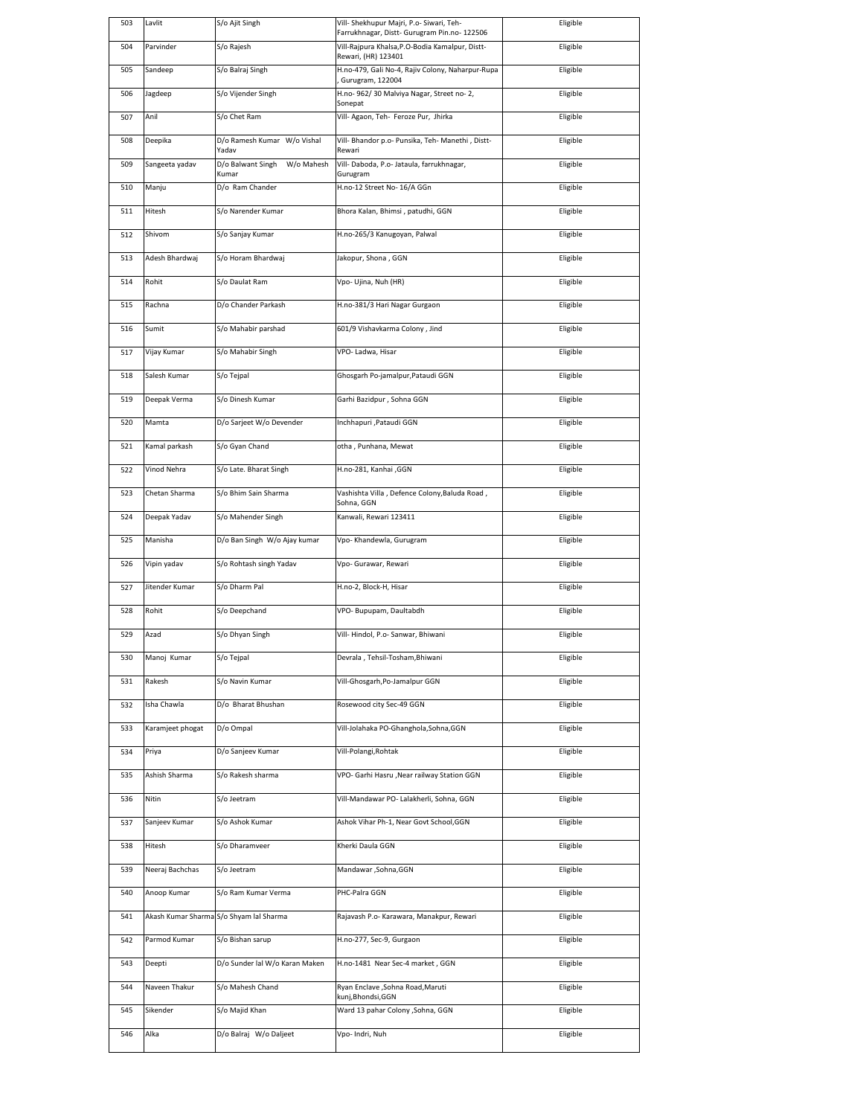| 503 |                  |                                          |                                                                                          | Eligible |
|-----|------------------|------------------------------------------|------------------------------------------------------------------------------------------|----------|
|     | Lavlit           | S/o Ajit Singh                           | Vill- Shekhupur Majri, P.o- Siwari, Teh-<br>Farrukhnagar, Distt- Gurugram Pin.no- 122506 |          |
| 504 | Parvinder        | S/o Rajesh                               | Vill-Rajpura Khalsa, P.O-Bodia Kamalpur, Distt-                                          | Eligible |
| 505 | Sandeep          | S/o Balraj Singh                         | Rewari, (HR) 123401<br>H.no-479, Gali No-4, Rajiv Colony, Naharpur-Rupa                  | Eligible |
|     |                  |                                          | Gurugram, 122004                                                                         |          |
| 506 | Jagdeep          | S/o Vijender Singh                       | H.no- 962/30 Malviya Nagar, Street no- 2,<br>Sonepat                                     | Eligible |
| 507 | Anil             | S/o Chet Ram                             | Vill- Agaon, Teh- Feroze Pur, Jhirka                                                     | Eligible |
| 508 | Deepika          | D/o Ramesh Kumar W/o Vishal              | Vill- Bhandor p.o- Punsika, Teh- Manethi, Distt-                                         | Eligible |
| 509 | Sangeeta yadav   | Yadav<br>D/o Balwant Singh<br>W/o Mahesh | Rewari<br>Vill- Daboda, P.o- Jataula, farrukhnagar,                                      | Eligible |
|     |                  | Kumar                                    | Gurugram                                                                                 |          |
| 510 | Manju            | D/o Ram Chander                          | H.no-12 Street No- 16/A GGn                                                              | Eligible |
| 511 | Hitesh           | S/o Narender Kumar                       | Bhora Kalan, Bhimsi, patudhi, GGN                                                        | Eligible |
| 512 | Shivom           | S/o Sanjay Kumar                         | H.no-265/3 Kanugoyan, Palwal                                                             | Eligible |
| 513 | Adesh Bhardwaj   | S/o Horam Bhardwaj                       | Jakopur, Shona, GGN                                                                      | Eligible |
| 514 | Rohit            | S/o Daulat Ram                           | Vpo- Ujina, Nuh (HR)                                                                     | Eligible |
| 515 | Rachna           | D/o Chander Parkash                      | H.no-381/3 Hari Nagar Gurgaon                                                            | Eligible |
| 516 | Sumit            | S/o Mahabir parshad                      | 601/9 Vishavkarma Colony, Jind                                                           | Eligible |
|     |                  |                                          |                                                                                          |          |
| 517 | Vijay Kumar      | S/o Mahabir Singh                        | VPO- Ladwa, Hisar                                                                        | Eligible |
| 518 | Salesh Kumar     | S/o Tejpal                               | Ghosgarh Po-jamalpur, Pataudi GGN                                                        | Eligible |
| 519 | Deepak Verma     | S/o Dinesh Kumar                         | Garhi Bazidpur, Sohna GGN                                                                | Eligible |
| 520 | Mamta            | D/o Sarjeet W/o Devender                 | Inchhapuri , Pataudi GGN                                                                 | Eligible |
| 521 | Kamal parkash    | S/o Gyan Chand                           | otha, Punhana, Mewat                                                                     | Eligible |
| 522 | Vinod Nehra      | S/o Late. Bharat Singh                   | H.no-281, Kanhai ,GGN                                                                    | Eligible |
| 523 | Chetan Sharma    | S/o Bhim Sain Sharma                     | Vashishta Villa, Defence Colony, Baluda Road,                                            | Eligible |
|     |                  |                                          | Sohna, GGN                                                                               |          |
| 524 | Deepak Yadav     | S/o Mahender Singh                       | Kanwali, Rewari 123411                                                                   | Eligible |
| 525 | Manisha          | D/o Ban Singh W/o Ajay kumar             | Vpo- Khandewla, Gurugram                                                                 | Eligible |
| 526 | Vipin yadav      | S/o Rohtash singh Yadav                  | Vpo- Gurawar, Rewari                                                                     | Eligible |
| 527 | Jitender Kumar   | S/o Dharm Pal                            | H.no-2, Block-H, Hisar                                                                   | Eligible |
| 528 | Rohit            | S/o Deepchand                            | VPO-Bupupam, Daultabdh                                                                   | Eligible |
| 529 | Azad             | S/o Dhyan Singh                          | Vill-Hindol, P.o-Sanwar, Bhiwani                                                         | Eligible |
| 530 | Manoj Kumar      | S/o Tejpal                               | Devrala, Tehsil-Tosham, Bhiwani                                                          | Eligible |
| 531 | Rakesh           | S/o Navin Kumar                          | Vill-Ghosgarh, Po-Jamalpur GGN                                                           | Eligible |
|     |                  |                                          |                                                                                          |          |
| 532 | Isha Chawla      | D/o Bharat Bhushan                       | Rosewood city Sec-49 GGN                                                                 | Eligible |
| 533 | Karamjeet phogat | D/o Ompal                                | Vill-Jolahaka PO-Ghanghola, Sohna, GGN                                                   | Eligible |
| 534 | Priya            | D/o Sanjeev Kumar                        | Vill-Polangi, Rohtak                                                                     | Eligible |
| 535 | Ashish Sharma    | S/o Rakesh sharma                        | VPO- Garhi Hasru , Near railway Station GGN                                              | Eligible |
| 536 | Nitin            | S/o Jeetram                              | Vill-Mandawar PO- Lalakherli, Sohna, GGN                                                 | Eligible |
| 537 | Sanjeev Kumar    | S/o Ashok Kumar                          | Ashok Vihar Ph-1, Near Govt School, GGN                                                  | Eligible |
| 538 | Hitesh           | S/o Dharamveer                           | Kherki Daula GGN                                                                         | Eligible |
| 539 | Neeraj Bachchas  | S/o Jeetram                              | Mandawar , Sohna, GGN                                                                    | Eligible |
| 540 | Anoop Kumar      | S/o Ram Kumar Verma                      | PHC-Palra GGN                                                                            | Eligible |
| 541 |                  | Akash Kumar Sharma S/o Shyam lal Sharma  | Rajavash P.o- Karawara, Manakpur, Rewari                                                 | Eligible |
| 542 | Parmod Kumar     | S/o Bishan sarup                         | H.no-277, Sec-9, Gurgaon                                                                 | Eligible |
| 543 | Deepti           | D/o Sunder lal W/o Karan Maken           | H.no-1481 Near Sec-4 market, GGN                                                         | Eligible |
| 544 | Naveen Thakur    | S/o Mahesh Chand                         | Ryan Enclave , Sohna Road, Maruti                                                        | Eligible |
| 545 | Sikender         | S/o Majid Khan                           | kunj,Bhondsi,GGN<br>Vard 13 pahar Colony , Sohna, GGN                                    | Eligible |
|     |                  |                                          |                                                                                          |          |
| 546 | Alka             | D/o Balraj W/o Daljeet                   | Vpo- Indri, Nuh                                                                          | Eligible |
|     |                  |                                          |                                                                                          |          |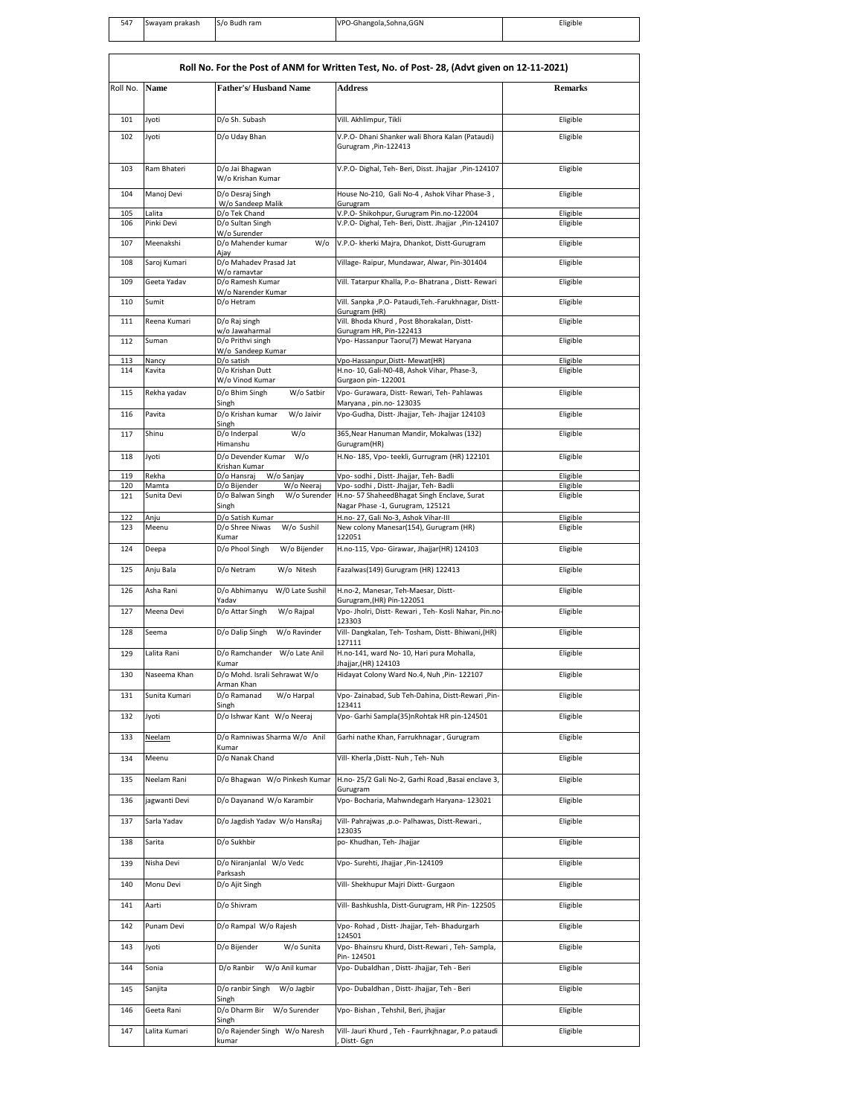| 547 | Swavam prakash | S/o Budh ram | VPO-Ghangola, Sohna, GGN | Eligible |
|-----|----------------|--------------|--------------------------|----------|
|     |                |              |                          |          |
|     |                |              |                          |          |
|     |                |              |                          |          |

| Roll No. For the Post of ANM for Written Test, No. of Post- 28, (Advt given on 12-11-2021) |                      |                                                   |                                                                                                 |                      |  |  |  |
|--------------------------------------------------------------------------------------------|----------------------|---------------------------------------------------|-------------------------------------------------------------------------------------------------|----------------------|--|--|--|
| Roll No.                                                                                   | Name                 | <b>Father's/Husband Name</b>                      | <b>Address</b>                                                                                  | <b>Remarks</b>       |  |  |  |
|                                                                                            |                      |                                                   |                                                                                                 |                      |  |  |  |
| 101                                                                                        | Jyoti                | D/o Sh. Subash                                    | Vill. Akhlimpur, Tikli                                                                          | Eligible             |  |  |  |
| 102                                                                                        | Jyoti                | D/o Uday Bhan                                     | V.P.O- Dhani Shanker wali Bhora Kalan (Pataudi)                                                 | Eligible             |  |  |  |
|                                                                                            |                      |                                                   | Gurugram ,Pin-122413                                                                            |                      |  |  |  |
| 103                                                                                        | Ram Bhateri          | D/o Jai Bhagwan                                   | V.P.O- Dighal, Teh- Beri, Disst. Jhajjar ,Pin-124107                                            | Eligible             |  |  |  |
|                                                                                            |                      | W/o Krishan Kumar                                 |                                                                                                 |                      |  |  |  |
| 104                                                                                        | Manoj Devi           | D/o Desraj Singh<br>W/o Sandeep Malik             | House No-210, Gali No-4, Ashok Vihar Phase-3,<br>Gurugram                                       | Eligible             |  |  |  |
| 105<br>106                                                                                 | Lalita<br>Pinki Devi | D/o Tek Chand<br>D/o Sultan Singh                 | V.P.O-Shikohpur, Gurugram Pin.no-122004<br>V.P.O- Dighal, Teh- Beri, Distt. Jhajjar, Pin-124107 | Eligible<br>Eligible |  |  |  |
| 107                                                                                        | Meenakshi            | W/o Surender<br>D/o Mahender kumar<br>W/o         | V.P.O- kherki Majra, Dhankot, Distt-Gurugram                                                    | Eligible             |  |  |  |
|                                                                                            |                      | Ajay                                              |                                                                                                 |                      |  |  |  |
| 108                                                                                        | Saroj Kumari         | D/o Mahadev Prasad Jat<br>W/o ramavtar            | Village- Raipur, Mundawar, Alwar, Pin-301404                                                    | Eligible             |  |  |  |
| 109                                                                                        | Geeta Yadav          | D/o Ramesh Kumar<br>W/o Narender Kumar            | Vill. Tatarpur Khalla, P.o- Bhatrana, Distt- Rewari                                             | Eligible             |  |  |  |
| 110                                                                                        | Sumit                | D/o Hetram                                        | Vill. Sanpka , P.O- Pataudi, Teh.-Farukhnagar, Distt-                                           | Eligible             |  |  |  |
| 111                                                                                        | Reena Kumari         | D/o Raj singh                                     | Gurugram (HR)<br>Vill. Bhoda Khurd, Post Bhorakalan, Distt-                                     | Eligible             |  |  |  |
| 112                                                                                        | Suman                | w/o Jawaharmal<br>D/o Prithvi singh               | Gurugram HR, Pin-122413<br>Vpo- Hassanpur Taoru(7) Mewat Haryana                                | Eligible             |  |  |  |
| 113                                                                                        | Nancy                | W/o Sandeep Kumar<br>D/o satish                   | Vpo-Hassanpur, Distt- Mewat(HR)                                                                 | Eligible             |  |  |  |
| 114                                                                                        | Kavita               | D/o Krishan Dutt                                  | H.no- 10, Gali-N0-4B, Ashok Vihar, Phase-3,                                                     | Eligible             |  |  |  |
| 115                                                                                        | Rekha yadav          | W/o Vinod Kumar<br>D/o Bhim Singh<br>W/o Satbir   | Gurgaon pin-122001<br>Vpo- Gurawara, Distt- Rewari, Teh- Pahlawas                               | Eligible             |  |  |  |
|                                                                                            |                      | Singh                                             | Maryana, pin.no- 123035                                                                         |                      |  |  |  |
| 116                                                                                        | Pavita               | D/o Krishan kumar<br>W/o Jaivir<br>Singh          | Vpo-Gudha, Distt- Jhajjar, Teh- Jhajjar 124103                                                  | Eligible             |  |  |  |
| 117                                                                                        | Shinu                | D/o Inderpal<br>$W$ /o<br>Himanshu                | 365, Near Hanuman Mandir, Mokalwas (132)<br>Gurugram(HR)                                        | Eligible             |  |  |  |
| 118                                                                                        | Jyoti                | D/o Devender Kumar<br>W/o                         | H.No- 185, Vpo- teekli, Gurrugram (HR) 122101                                                   | Eligible             |  |  |  |
| 119                                                                                        | Rekha                | Krishan Kumar<br>D/o Hansraj<br>W/o Sanjay        | Vpo- sodhi, Distt- Jhajjar, Teh- Badli                                                          | Eligible             |  |  |  |
| 120                                                                                        | Mamta                | D/o Bijender<br>W/o Neeraj                        | Vpo- sodhi, Distt- Jhajjar, Teh- Badli                                                          | Eligible             |  |  |  |
| 121                                                                                        | Sunita Devi          | D/o Balwan Singh<br>W/o Surender<br>Singh         | H.no- 57 ShaheedBhagat Singh Enclave, Surat<br>Nagar Phase -1, Gurugram, 125121                 | Eligible             |  |  |  |
| 122<br>123                                                                                 | Anju<br>Meenu        | D/o Satish Kumar<br>D/o Shree Niwas<br>W/o Sushil | H.no- 27, Gali No-3, Ashok Vihar-III<br>New colony Manesar(154), Gurugram (HR)                  | Eligible<br>Eligible |  |  |  |
|                                                                                            |                      | Kumar                                             | 122051                                                                                          |                      |  |  |  |
| 124                                                                                        | Deepa                | D/o Phool Singh<br>W/o Bijender                   | H.no-115, Vpo- Girawar, Jhajjar(HR) 124103                                                      | Eligible             |  |  |  |
| 125                                                                                        | Anju Bala            | D/o Netram<br>W/o Nitesh                          | Fazalwas(149) Gurugram (HR) 122413                                                              | Eligible             |  |  |  |
| 126                                                                                        | Asha Rani            | D/o Abhimanyu<br>W/0 Late Sushil<br>Yadav         | H.no-2, Manesar, Teh-Maesar, Distt-<br>Gurugram, (HR) Pin-122051                                | Eligible             |  |  |  |
| 127                                                                                        | Meena Devi           | D/o Attar Singh<br>W/o Rajpal                     | Vpo- Jholri, Distt- Rewari, Teh- Kosli Nahar, Pin.no-<br>123303                                 | Eligible             |  |  |  |
| 128                                                                                        | Seema                | D/o Dalip Singh<br>W/o Ravinder                   | Vill- Dangkalan, Teh- Tosham, Distt- Bhiwani, (HR)                                              | Eligible             |  |  |  |
| 129                                                                                        | Lalita Rani          | D/o Ramchander W/o Late Anil                      | 127111<br>H.no-141, ward No- 10, Hari pura Mohalla,                                             | Eligible             |  |  |  |
|                                                                                            | Naseema Khan         | Kumar<br>D/o Mohd. Israli Sehrawat W/o            | Jhajjar, (HR) 124103                                                                            |                      |  |  |  |
| 130                                                                                        |                      | Arman Khan                                        | Hidayat Colony Ward No.4, Nuh , Pin- 122107                                                     | Eligible             |  |  |  |
| 131                                                                                        | Sunita Kumari        | D/o Ramanad<br>W/o Harpal<br>Singh                | Vpo-Zainabad, Sub Teh-Dahina, Distt-Rewari, Pin-<br>123411                                      | Eligible             |  |  |  |
| 132                                                                                        | lyoti                | D/o Ishwar Kant W/o Neeraj                        | Vpo- Garhi Sampla(35)nRohtak HR pin-124501                                                      | Eligible             |  |  |  |
| 133                                                                                        | Neelam               | D/o Ramniwas Sharma W/o Anil<br>Kumar             | Garhi nathe Khan, Farrukhnagar, Gurugram                                                        | Eligible             |  |  |  |
| 134                                                                                        | Meenu                | D/o Nanak Chand                                   | Vill- Kherla , Distt- Nuh , Teh- Nuh                                                            | Eligible             |  |  |  |
| 135                                                                                        | Neelam Rani          | D/o Bhagwan W/o Pinkesh Kumar                     | H.no- 25/2 Gali No-2, Garhi Road , Basai enclave 3,                                             | Eligible             |  |  |  |
| 136                                                                                        | jagwanti Devi        | D/o Dayanand W/o Karambir                         | Gurugram<br>Vpo- Bocharia, Mahwndegarh Haryana- 123021                                          | Eligible             |  |  |  |
| 137                                                                                        | Sarla Yadav          | D/o Jagdish Yadav W/o HansRaj                     | Vill- Pahrajwas ,p.o- Palhawas, Distt-Rewari.,                                                  | Eligible             |  |  |  |
| 138                                                                                        | Sarita               | D/o Sukhbir                                       | 123035<br>po- Khudhan, Teh- Jhajjar                                                             | Eligible             |  |  |  |
| 139                                                                                        | Nisha Devi           | D/o Niranjanlal W/o Vedc                          | Vpo- Surehti, Jhajjar, Pin-124109                                                               | Eligible             |  |  |  |
|                                                                                            |                      | Parksash                                          |                                                                                                 |                      |  |  |  |
| 140                                                                                        | Monu Devi            | D/o Ajit Singh                                    | Vill- Shekhupur Majri Dixtt- Gurgaon                                                            | Eligible             |  |  |  |
| 141                                                                                        | Aarti                | D/o Shivram                                       | Vill- Bashkushla, Distt-Gurugram, HR Pin- 122505                                                | Eligible             |  |  |  |
| 142                                                                                        | Punam Devi           | D/o Rampal W/o Rajesh                             | Vpo- Rohad, Distt- Jhajjar, Teh- Bhadurgarh<br>124501                                           | Eligible             |  |  |  |
| 143                                                                                        | lyoti                | D/o Bijender<br>W/o Sunita                        | Vpo- Bhainsru Khurd, Distt-Rewari, Teh- Sampla,<br>Pin-124501                                   | Eligible             |  |  |  |
| 144                                                                                        | Sonia                | D/o Ranbir<br>W/o Anil kumar                      | Vpo- Dubaldhan, Distt- Jhajjar, Teh - Beri                                                      | Eligible             |  |  |  |
| 145                                                                                        | Sanjita              | D/o ranbir Singh<br>W/o Jagbir                    | Vpo- Dubaldhan, Distt- Jhajjar, Teh - Beri                                                      | Eligible             |  |  |  |
| 146                                                                                        | Geeta Rani           | Singh<br>D/o Dharm Bir<br>W/o Surender            | Vpo- Bishan, Tehshil, Beri, jhajjar                                                             | Eligible             |  |  |  |
| 147                                                                                        | Lalita Kumari        | Singh<br>D/o Rajender Singh W/o Naresh            | Vill- Jauri Khurd, Teh - Faurrkjhnagar, P.o pataudi                                             | Eligible             |  |  |  |
|                                                                                            |                      | kumar                                             | Distt- Ggn                                                                                      |                      |  |  |  |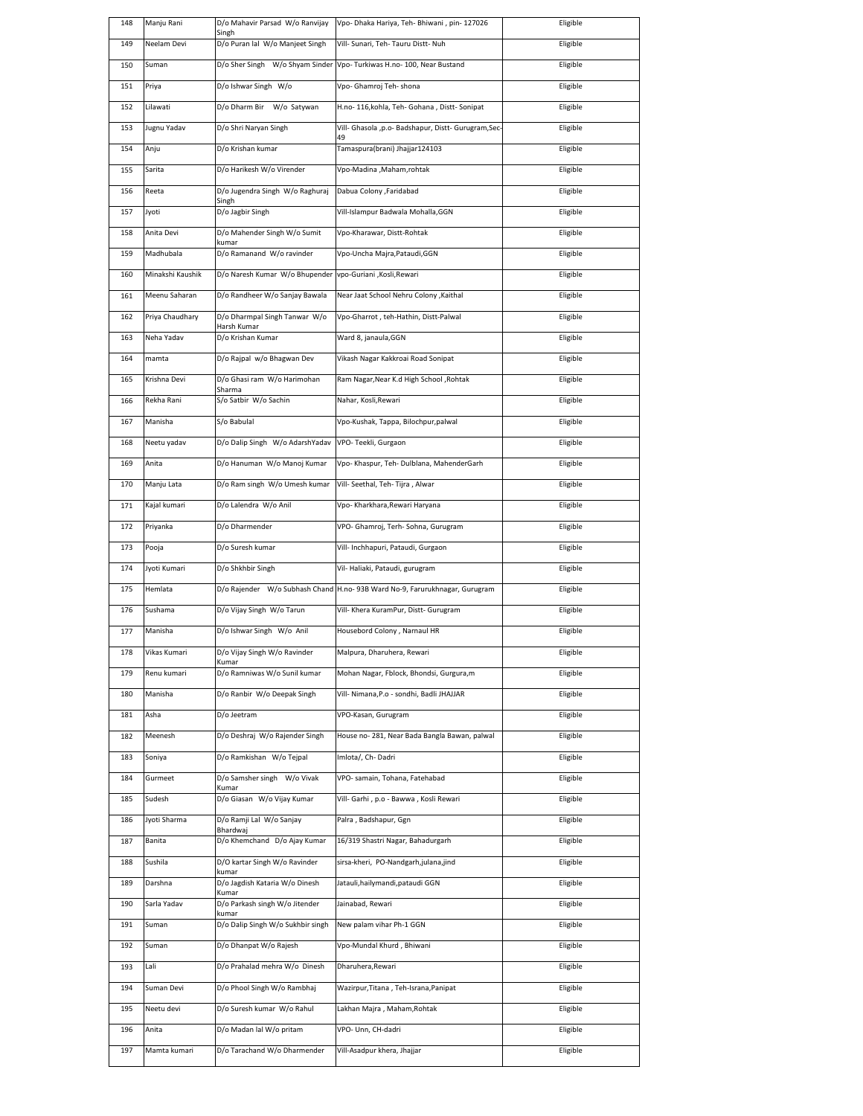| 148 | Manju Rani       | D/o Mahavir Parsad W/o Ranvijay<br>Singh     | Vpo- Dhaka Hariya, Teh- Bhiwani , pin- 127026                              | Eligible |
|-----|------------------|----------------------------------------------|----------------------------------------------------------------------------|----------|
| 149 | Neelam Devi      | D/o Puran lal W/o Manjeet Singh              | Vill- Sunari, Teh- Tauru Distt- Nuh                                        | Eligible |
| 150 | Suman            | D/o Sher Singh W/o Shyam Sinder              | Vpo- Turkiwas H.no- 100, Near Bustand                                      | Eligible |
| 151 | Priya            | D/o Ishwar Singh W/o                         | Vpo- Ghamroj Teh- shona                                                    | Eligible |
| 152 | Lilawati         | D/o Dharm Bir W/o Satywan                    | H.no- 116, kohla, Teh- Gohana, Distt- Sonipat                              | Eligible |
| 153 | Jugnu Yadav      | D/o Shri Naryan Singh                        | Vill- Ghasola ,p.o- Badshapur, Distt- Gurugram,Sec-                        | Eligible |
| 154 | Anju             | D/o Krishan kumar                            | 49<br>Tamaspura(brani) Jhajjar124103                                       | Eligible |
| 155 | Sarita           | D/o Harikesh W/o Virender                    | Vpo-Madina , Maham, rohtak                                                 | Eligible |
| 156 | Reeta            | D/o Jugendra Singh W/o Raghuraj              | Dabua Colony ,Faridabad                                                    | Eligible |
| 157 | Jyoti            | Singh<br>D/o Jagbir Singh                    | Vill-Islampur Badwala Mohalla, GGN                                         | Eligible |
| 158 | Anita Devi       | D/o Mahender Singh W/o Sumit<br>kumar        | Vpo-Kharawar, Distt-Rohtak                                                 | Eligible |
| 159 | Madhubala        | D/o Ramanand W/o ravinder                    | Vpo-Uncha Majra, Pataudi, GGN                                              | Eligible |
| 160 | Minakshi Kaushik | D/o Naresh Kumar W/o Bhupender               | vpo-Guriani , Kosli, Rewari                                                | Eligible |
| 161 | Meenu Saharan    | D/o Randheer W/o Sanjay Bawala               | Near Jaat School Nehru Colony , Kaithal                                    | Eligible |
| 162 | Priya Chaudhary  | D/o Dharmpal Singh Tanwar W/o<br>Harsh Kumar | Vpo-Gharrot, teh-Hathin, Distt-Palwal                                      | Eligible |
| 163 | Neha Yadav       | D/o Krishan Kumar                            | Ward 8, janaula, GGN                                                       | Eligible |
| 164 | mamta            | D/o Rajpal w/o Bhagwan Dev                   | Vikash Nagar Kakkroai Road Sonipat                                         | Eligible |
| 165 | Krishna Devi     | D/o Ghasi ram W/o Harimohan                  | Ram Nagar, Near K.d High School, Rohtak                                    | Eligible |
| 166 | Rekha Rani       | Sharma<br>S/o Satbir W/o Sachin              | Nahar, Kosli, Rewari                                                       | Eligible |
| 167 | Manisha          | S/o Babulal                                  | Vpo-Kushak, Tappa, Bilochpur, palwal                                       | Eligible |
| 168 | Neetu yadav      | D/o Dalip Singh W/o AdarshYadav              | VPO-Teekli, Gurgaon                                                        | Eligible |
| 169 | Anita            | D/o Hanuman W/o Manoj Kumar                  | Vpo- Khaspur, Teh- Dulblana, MahenderGarh                                  | Eligible |
| 170 | Manju Lata       | D/o Ram singh W/o Umesh kumar                | Vill- Seethal, Teh- Tijra, Alwar                                           | Eligible |
| 171 | Kajal kumari     | D/o Lalendra W/o Anil                        | Vpo- Kharkhara, Rewari Haryana                                             | Eligible |
| 172 | Priyanka         | D/o Dharmender                               | VPO- Ghamroj, Terh- Sohna, Gurugram                                        | Eligible |
| 173 | Pooja            | D/o Suresh kumar                             | Vill- Inchhapuri, Pataudi, Gurgaon                                         | Eligible |
|     |                  |                                              |                                                                            |          |
| 174 | Jyoti Kumari     | D/o Shkhbir Singh                            | Vil- Haliaki, Pataudi, gurugram                                            | Eligible |
| 175 | Hemlata          |                                              | D/o Rajender W/o Subhash Chand H.no-93B Ward No-9, Farurukhnagar, Gurugram | Eligible |
| 176 | Sushama          | D/o Vijay Singh W/o Tarun                    | Vill- Khera KuramPur, Distt- Gurugram                                      | Eligible |
| 177 | Manisha          | D/o Ishwar Singh W/o Anil                    | Housebord Colony, Narnaul HR                                               | Eligible |
| 178 | Vikas Kumari     | D/o Vijay Singh W/o Ravinder                 | iviaipura, Dharunera, Rewari                                               | Eligible |
| 179 | Renu kumari      | Kumar<br>D/o Ramniwas W/o Sunil kumar        | Mohan Nagar, Fblock, Bhondsi, Gurgura, m                                   | Eligible |
| 180 | Manisha          | D/o Ranbir W/o Deepak Singh                  | Vill- Nimana, P.o - sondhi, Badli JHAJJAR                                  | Eligible |
| 181 | Asha             | D/o Jeetram                                  | VPO-Kasan, Gurugram                                                        | Eligible |
| 182 | Meenesh          | D/o Deshraj W/o Rajender Singh               | House no-281, Near Bada Bangla Bawan, palwal                               | Eligible |
| 183 | Soniya           | D/o Ramkishan W/o Tejpal                     | Imlota/, Ch-Dadri                                                          | Eligible |
| 184 | Gurmeet          | D/o Samsher singh W/o Vivak                  | VPO- samain, Tohana, Fatehabad                                             | Eligible |
| 185 | Sudesh           | Kumar<br>D/o Giasan W/o Vijay Kumar          | Vill- Garhi, p.o - Bawwa, Kosli Rewari                                     | Eligible |
| 186 | Jyoti Sharma     | D/o Ramji Lal W/o Sanjay                     | Palra, Badshapur, Ggn                                                      | Eligible |
| 187 | Banita           | Bhardwaj<br>D/o Khemchand D/o Ajay Kumar     | 16/319 Shastri Nagar, Bahadurgarh                                          | Eligible |
| 188 | Sushila          | D/O kartar Singh W/o Ravinder                | sirsa-kheri, PO-Nandgarh,julana,jind                                       | Eligible |
| 189 | Darshna          | kumar<br>D/o Jagdish Kataria W/o Dinesh      | Jatauli, hailymandi, pataudi GGN                                           | Eligible |
| 190 | Sarla Yadav      | Kumar<br>D/o Parkash singh W/o Jitender      | Jainabad, Rewari                                                           | Eligible |
| 191 | Suman            | kumar<br>D/o Dalip Singh W/o Sukhbir singh   | New palam vihar Ph-1 GGN                                                   | Eligible |
| 192 | Suman            | D/o Dhanpat W/o Rajesh                       | Vpo-Mundal Khurd, Bhiwani                                                  | Eligible |
| 193 | Lali             | D/o Prahalad mehra W/o Dinesh                | Dharuhera, Rewari                                                          | Eligible |
| 194 | Suman Devi       | D/o Phool Singh W/o Rambhaj                  | Wazirpur, Titana, Teh-Israna, Panipat                                      | Eligible |
| 195 | Neetu devi       | D/o Suresh kumar W/o Rahul                   | Lakhan Majra, Maham, Rohtak                                                | Eligible |
| 196 | Anita            | D/o Madan lal W/o pritam                     | VPO- Unn, CH-dadri                                                         | Eligible |
| 197 | Mamta kumari     | D/o Tarachand W/o Dharmender                 | Vill-Asadpur khera, Jhajjar                                                | Eligible |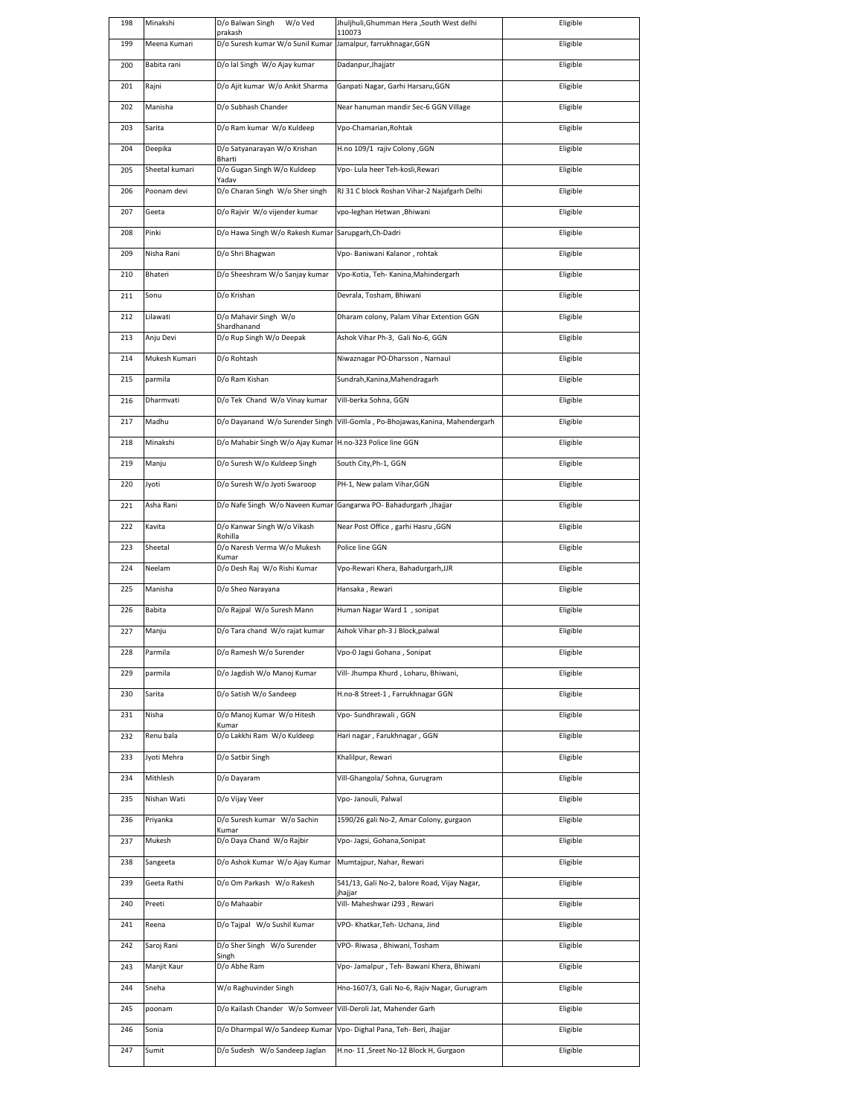| 198 | Minakshi       | D/o Balwan Singh<br>W/o Ved<br>prakash   | Jhuljhuli, Ghumman Hera , South West delhi<br>110073 | Eligible |
|-----|----------------|------------------------------------------|------------------------------------------------------|----------|
| 199 | Meena Kumari   | D/o Suresh kumar W/o Sunil Kumar         | Jamalpur, farrukhnagar, GGN                          | Eligible |
| 200 | Babita rani    | D/o lal Singh W/o Ajay kumar             | Dadanpur, Jhajjatr                                   | Eligible |
| 201 | Rajni          | D/o Ajit kumar W/o Ankit Sharma          | Ganpati Nagar, Garhi Harsaru, GGN                    | Eligible |
| 202 | Manisha        | D/o Subhash Chander                      | Near hanuman mandir Sec-6 GGN Village                | Eligible |
| 203 | Sarita         | D/o Ram kumar W/o Kuldeep                | Vpo-Chamarian, Rohtak                                | Eligible |
| 204 | Deepika        | D/o Satyanarayan W/o Krishan             | H.no 109/1 rajiv Colony , GGN                        | Eligible |
| 205 | Sheetal kumari | Bharti<br>D/o Gugan Singh W/o Kuldeep    | Vpo- Lula heer Teh-kosli, Rewari                     | Eligible |
| 206 | Poonam devi    | Yadav<br>D/o Charan Singh W/o Sher singh | RJ 31 C block Roshan Vihar-2 Najafgarh Delhi         | Eligible |
| 207 | Geeta          | D/o Rajvir W/o vijender kumar            | vpo-leghan Hetwan , Bhiwani                          | Eligible |
| 208 | Pinki          | D/o Hawa Singh W/o Rakesh Kumar          | Sarupgarh, Ch-Dadri                                  | Eligible |
| 209 | Nisha Rani     | D/o Shri Bhagwan                         | Vpo- Baniwani Kalanor, rohtak                        | Eligible |
| 210 | Bhateri        | D/o Sheeshram W/o Sanjay kumar           | Vpo-Kotia, Teh- Kanina, Mahindergarh                 | Eligible |
|     |                |                                          |                                                      |          |
| 211 | Sonu           | D/o Krishan                              | Devrala, Tosham, Bhiwani                             | Eligible |
| 212 | Lilawati       | D/o Mahavir Singh W/o<br>Shardhanand     | Dharam colony, Palam Vihar Extention GGN             | Eligible |
| 213 | Anju Devi      | D/o Rup Singh W/o Deepak                 | Ashok Vihar Ph-3, Gali No-6, GGN                     | Eligible |
| 214 | Mukesh Kumari  | D/o Rohtash                              | Niwaznagar PO-Dharsson, Narnaul                      | Eligible |
| 215 | parmila        | D/o Ram Kishan                           | Sundrah, Kanina, Mahendragarh                        | Eligible |
| 216 | Dharmvati      | D/o Tek Chand W/o Vinay kumar            | Vill-berka Sohna, GGN                                | Eligible |
| 217 | Madhu          | D/o Dayanand W/o Surender Singh          | Vill-Gomla, Po-Bhojawas, Kanina, Mahendergarh        | Eligible |
| 218 | Minakshi       | D/o Mahabir Singh W/o Ajay Kumar         | H.no-323 Police line GGN                             | Eligible |
| 219 | Manju          | D/o Suresh W/o Kuldeep Singh             | South City, Ph-1, GGN                                | Eligible |
| 220 | Jyoti          | D/o Suresh W/o Jyoti Swaroop             | PH-1, New palam Vihar, GGN                           | Eligible |
| 221 | Asha Rani      | D/o Nafe Singh W/o Naveen Kumar          | Gangarwa PO- Bahadurgarh , Jhajjar                   | Eligible |
| 222 | Kavita         | D/o Kanwar Singh W/o Vikash<br>Rohilla   | Near Post Office, garhi Hasru, GGN                   | Eligible |
| 223 | Sheetal        | D/o Naresh Verma W/o Mukesh              | Police line GGN                                      | Eligible |
| 224 | Neelam         | Kumar<br>D/o Desh Raj W/o Rishi Kumar    | Vpo-Rewari Khera, Bahadurgarh, JJR                   | Eligible |
| 225 | Manisha        | D/o Sheo Narayana                        | Hansaka, Rewari                                      | Eligible |
| 226 | Babita         | D/o Rajpal W/o Suresh Mann               | Human Nagar Ward 1, sonipat                          | Eligible |
| 227 | Manju          | D/o Tara chand W/o rajat kumar           | Ashok Vihar ph-3 J Block, palwal                     | Eligible |
| 228 | Parmila        | D/o Ramesh W/o Surender                  | Vpo-0 Jagsi Gohana , Sonipat                         | Eligible |
| 229 | parmila        | D/o Jagdish W/o Manoj Kumar              | Vill- Jhumpa Khurd, Loharu, Bhiwani,                 | Eligible |
| 230 | Sarita         | D/o Satish W/o Sandeep                   | H.no-8 Street-1, Farrukhnagar GGN                    | Eligible |
| 231 | Nisha          | D/o Manoj Kumar W/o Hitesh               | Vpo- Sundhrawali, GGN                                | Eligible |
| 232 | Renu bala      | Kumar<br>D/o Lakkhi Ram W/o Kuldeep      | Hari nagar, Farukhnagar, GGN                         | Eligible |
| 233 | Jyoti Mehra    | D/o Satbir Singh                         | Khalilpur, Rewari                                    | Eligible |
| 234 | Mithlesh       | D/o Dayaram                              | Vill-Ghangola/Sohna, Gurugram                        | Eligible |
| 235 | Nishan Wati    | D/o Vijay Veer                           | Vpo- Janouli, Palwal                                 | Eligible |
| 236 | Priyanka       | D/o Suresh kumar W/o Sachin              | 1590/26 gali No-2, Amar Colony, gurgaon              | Eligible |
| 237 | Mukesh         | Kumar<br>D/o Daya Chand W/o Rajbir       | Vpo- Jagsi, Gohana, Sonipat                          | Eligible |
| 238 | Sangeeta       | D/o Ashok Kumar W/o Ajay Kumar           | Mumtajpur, Nahar, Rewari                             | Eligible |
| 239 | Geeta Rathi    | D/o Om Parkash W/o Rakesh                | 541/13, Gali No-2, balore Road, Vijay Nagar,         | Eligible |
| 240 | Preeti         | D/o Mahaabir                             | jhajjar<br>Vill- Maheshwar i293, Rewari              | Eligible |
| 241 | Reena          | D/o Tajpal W/o Sushil Kumar              | VPO- Khatkar, Teh- Uchana, Jind                      | Eligible |
|     |                |                                          |                                                      |          |
| 242 | Saroj Rani     | D/o Sher Singh W/o Surender<br>Singh     | VPO- Riwasa, Bhiwani, Tosham                         | Eligible |
| 243 | Manjit Kaur    | D/o Abhe Ram                             | Vpo- Jamalpur, Teh- Bawani Khera, Bhiwani            | Eligible |
| 244 | Sneha          | W/o Raghuvinder Singh                    | Hno-1607/3, Gali No-6, Rajiv Nagar, Gurugram         | Eligible |
| 245 | poonam         | D/o Kailash Chander W/o Somveer          | Vill-Deroli Jat, Mahender Garh                       | Eligible |
| 246 | Sonia          | D/o Dharmpal W/o Sandeep Kumar           | Vpo- Dighal Pana, Teh- Beri, Jhajjar                 | Eligible |
| 247 | Sumit          | D/o Sudesh W/o Sandeep Jaglan            | H.no- 11 ,Sreet No-12 Block H, Gurgaon               | Eligible |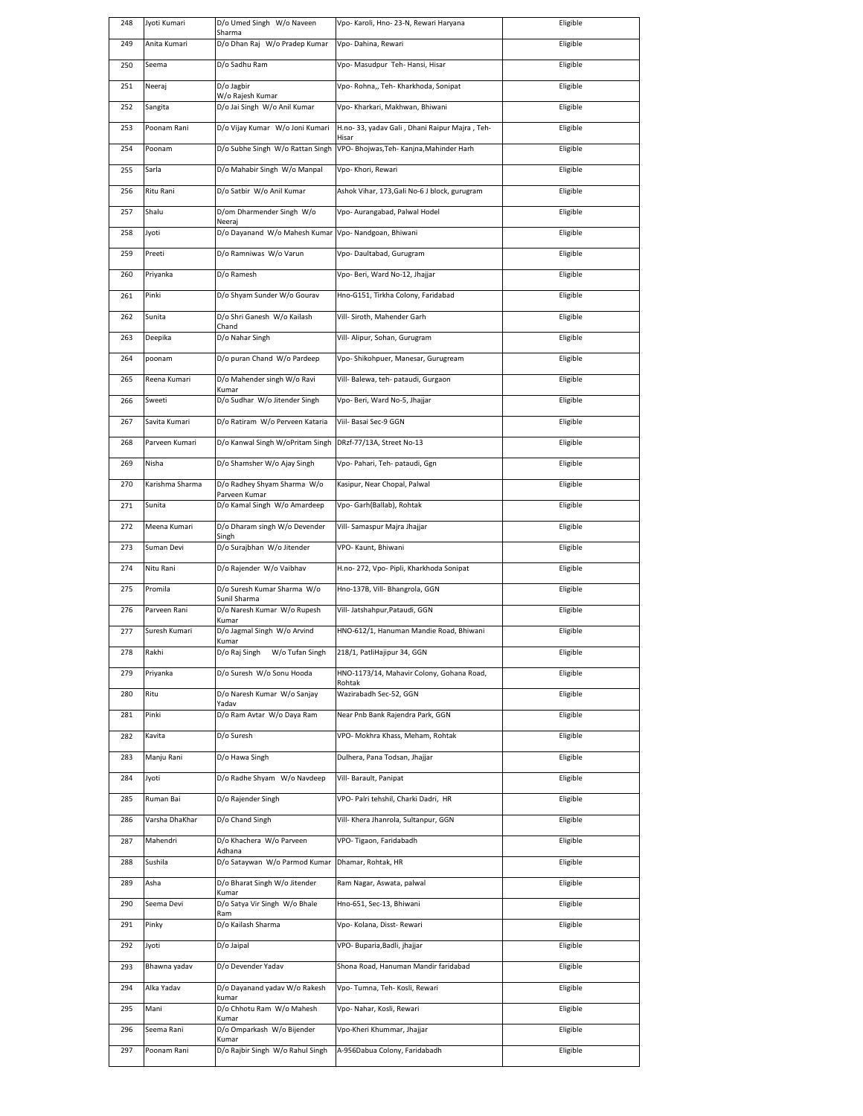| 248 | Jyoti Kumari    | D/o Umed Singh W/o Naveen<br>Sharma          | Vpo- Karoli, Hno- 23-N, Rewari Haryana                  | Eligible |
|-----|-----------------|----------------------------------------------|---------------------------------------------------------|----------|
| 249 | Anita Kumari    | D/o Dhan Raj W/o Pradep Kumar                | Vpo-Dahina, Rewari                                      | Eligible |
| 250 | Seema           | D/o Sadhu Ram                                | Vpo- Masudpur Teh- Hansi, Hisar                         | Eligible |
| 251 | Neeraj          | D/o Jagbir<br>W/o Rajesh Kumar               | Vpo- Rohna,, Teh- Kharkhoda, Sonipat                    | Eligible |
| 252 | Sangita         | D/o Jai Singh W/o Anil Kumar                 | Vpo- Kharkari, Makhwan, Bhiwani                         | Eligible |
| 253 | Poonam Rani     | D/o Vijay Kumar W/o Joni Kumari              | H.no- 33, yadav Gali, Dhani Raipur Majra, Teh-<br>Hisar | Eligible |
| 254 | Poonam          | D/o Subhe Singh W/o Rattan Singh             | VPO- Bhojwas, Teh- Kanjna, Mahinder Harh                | Eligible |
| 255 | Sarla           | D/o Mahabir Singh W/o Manpal                 | Vpo- Khori, Rewari                                      | Eligible |
| 256 | Ritu Rani       | D/o Satbir W/o Anil Kumar                    | Ashok Vihar, 173, Gali No-6 J block, gurugram           | Eligible |
| 257 | Shalu           | D/om Dharmender Singh W/o<br>Neeraj          | Vpo- Aurangabad, Palwal Hodel                           | Eligible |
| 258 | Jyoti           | D/o Dayanand W/o Mahesh Kumar                | Vpo- Nandgoan, Bhiwani                                  | Eligible |
| 259 | Preeti          | D/o Ramniwas W/o Varun                       | Vpo-Daultabad, Gurugram                                 | Eligible |
| 260 | Priyanka        | D/o Ramesh                                   | Vpo- Beri, Ward No-12, Jhajjar                          | Eligible |
| 261 | Pinki           | D/o Shyam Sunder W/o Gourav                  | Hno-G151, Tirkha Colony, Faridabad                      | Eligible |
| 262 | Sunita          | D/o Shri Ganesh W/o Kailash<br>Chand         | Vill- Siroth, Mahender Garh                             | Eligible |
| 263 | Deepika         | D/o Nahar Singh                              | Vill- Alipur, Sohan, Gurugram                           | Eligible |
| 264 | poonam          | D/o puran Chand W/o Pardeep                  | Vpo- Shikohpuer, Manesar, Gurugream                     | Eligible |
| 265 | Reena Kumari    | D/o Mahender singh W/o Ravi                  | Vill- Balewa, teh- pataudi, Gurgaon                     | Eligible |
| 266 | Sweeti          | Kumar<br>D/o Sudhar W/o Jitender Singh       | Vpo- Beri, Ward No-5, Jhajjar                           | Eligible |
| 267 | Savita Kumari   | D/o Ratiram W/o Perveen Kataria              | Viil- Basai Sec-9 GGN                                   | Eligible |
| 268 | Parveen Kumari  | D/o Kanwal Singh W/oPritam Singh             | DRzf-77/13A, Street No-13                               | Eligible |
| 269 | Nisha           | D/o Shamsher W/o Ajay Singh                  | Vpo- Pahari, Teh- pataudi, Ggn                          | Eligible |
|     |                 |                                              |                                                         |          |
| 270 | Karishma Sharma | D/o Radhey Shyam Sharma W/o<br>Parveen Kumar | Kasipur, Near Chopal, Palwal                            | Eligible |
| 271 | Sunita          | D/o Kamal Singh W/o Amardeep                 | Vpo- Garh(Ballab), Rohtak                               | Eligible |
| 272 | Meena Kumari    | D/o Dharam singh W/o Devender<br>Singh       | Vill- Samaspur Majra Jhajjar                            | Eligible |
| 273 | Suman Devi      | D/o Surajbhan W/o Jitender                   | VPO- Kaunt, Bhiwani                                     | Eligible |
| 274 | Nitu Rani       | D/o Rajender W/o Vaibhav                     | H.no- 272, Vpo- Pipli, Kharkhoda Sonipat                | Eligible |
| 275 | Promila         | D/o Suresh Kumar Sharma W/o<br>Sunil Sharma  | Hno-137B, Vill- Bhangrola, GGN                          | Eligible |
| 276 | Parveen Rani    | D/o Naresh Kumar W/o Rupesh<br>Kumar         | Vill- Jatshahpur, Pataudi, GGN                          | Eligible |
| 277 | Suresh Kumari   | D/o Jagmal Singh W/o Arvind<br>Kumar         | HNO-612/1, Hanuman Mandie Road, Bhiwani                 | Eligible |
| 278 | Rakhi           | D/o Raj Singh       W/o Tufan Singh          | 218/1, PatliHajipur 34, GGN                             | Eligible |
| 279 | Priyanka        | D/o Suresh W/o Sonu Hooda                    | HNO-1173/14, Mahavir Colony, Gohana Road,<br>Rohtak     | Eligible |
| 280 | Ritu            | D/o Naresh Kumar W/o Sanjay<br>Yadav         | Wazirabadh Sec-52, GGN                                  | Eligible |
| 281 | Pinki           | D/o Ram Avtar W/o Daya Ram                   | Near Pnb Bank Rajendra Park, GGN                        | Eligible |
| 282 | Kavita          | D/o Suresh                                   | VPO- Mokhra Khass, Meham, Rohtak                        | Eligible |
| 283 | Manju Rani      | D/o Hawa Singh                               | Dulhera, Pana Todsan, Jhajjar                           | Eligible |
| 284 | Jyoti           | D/o Radhe Shyam W/o Navdeep                  | Vill- Barault, Panipat                                  | Eligible |
| 285 | Ruman Bai       | D/o Rajender Singh                           | VPO- Palri tehshil, Charki Dadri, HR                    | Eligible |
| 286 | Varsha DhaKhar  | D/o Chand Singh                              | Vill- Khera Jhanrola, Sultanpur, GGN                    | Eligible |
| 287 | Mahendri        | D/o Khachera W/o Parveen<br>Adhana           | VPO-Tigaon, Faridabadh                                  | Eligible |
| 288 | Sushila         | D/o Sataywan W/o Parmod Kumar                | Dhamar, Rohtak, HR                                      | Eligible |
| 289 | Asha            | D/o Bharat Singh W/o Jitender<br>Kumar       | Ram Nagar, Aswata, palwal                               | Eligible |
| 290 | Seema Devi      | D/o Satya Vir Singh W/o Bhale<br>Ram         | Hno-651, Sec-13, Bhiwani                                | Eligible |
| 291 | Pinky           | D/o Kailash Sharma                           | Vpo- Kolana, Disst- Rewari                              | Eligible |
| 292 | Jyoti           | D/o Jaipal                                   | VPO- Buparia, Badli, jhajjar                            | Eligible |
| 293 | Bhawna yadav    | D/o Devender Yadav                           | Shona Road, Hanuman Mandir faridabad                    | Eligible |
| 294 | Alka Yadav      | D/o Dayanand yadav W/o Rakesh                | Vpo- Tumna, Teh- Kosli, Rewari                          | Eligible |
| 295 | Mani            | kumar<br>D/o Chhotu Ram W/o Mahesh           | Vpo- Nahar, Kosli, Rewari                               | Eligible |
| 296 | Seema Rani      | Kumar<br>D/o Omparkash W/o Bijender          | Vpo-Kheri Khummar, Jhajjar                              | Eligible |
| 297 | Poonam Rani     | Kumar<br>D/o Rajbir Singh W/o Rahul Singh    | A-956Dabua Colony, Faridabadh                           | Eligible |
|     |                 |                                              |                                                         |          |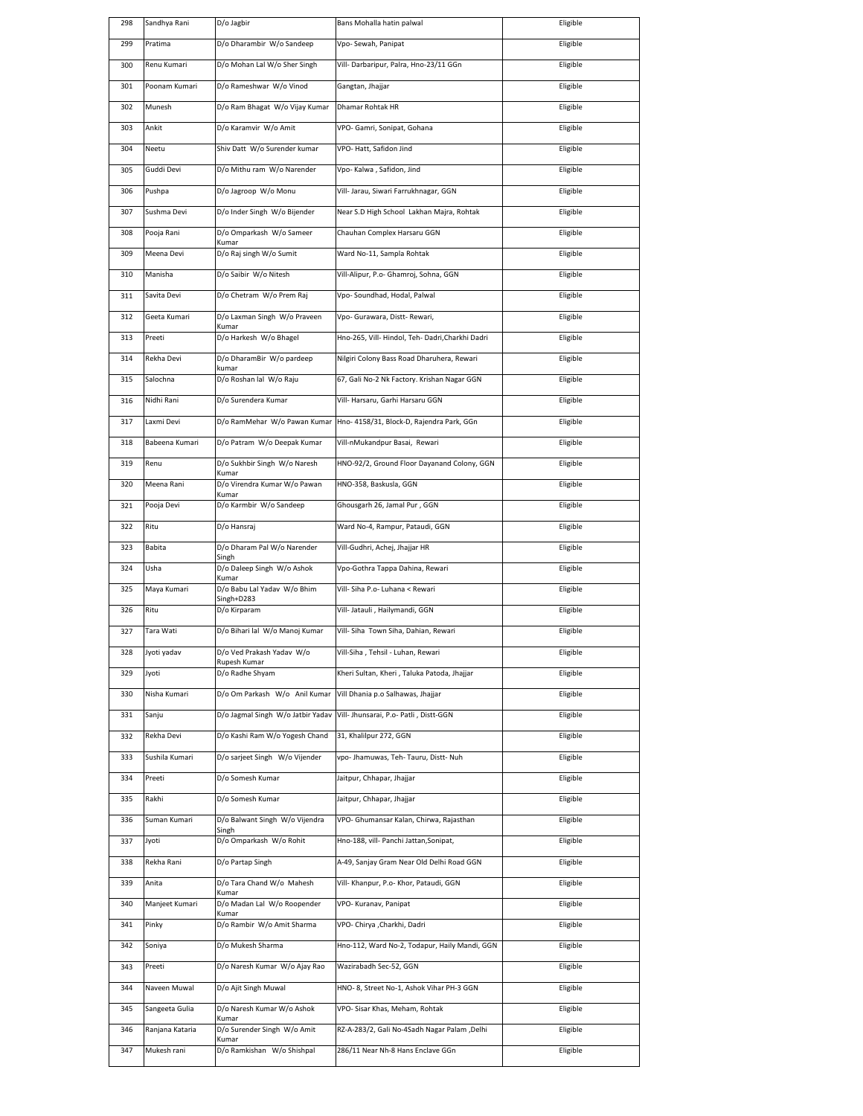| 298 | Sandhya Rani    | D/o Jagbir                            | Bans Mohalla hatin palwal                                                | Eligible |
|-----|-----------------|---------------------------------------|--------------------------------------------------------------------------|----------|
| 299 | Pratima         | D/o Dharambir W/o Sandeep             | Vpo-Sewah, Panipat                                                       | Eligible |
| 300 | Renu Kumari     | D/o Mohan Lal W/o Sher Singh          | Vill- Darbaripur, Palra, Hno-23/11 GGn                                   | Eligible |
| 301 | Poonam Kumari   | D/o Rameshwar W/o Vinod               | Gangtan, Jhajjar                                                         | Eligible |
| 302 | Munesh          | D/o Ram Bhagat W/o Vijay Kumar        | Dhamar Rohtak HR                                                         | Eligible |
| 303 | Ankit           | D/o Karamvir W/o Amit                 | VPO- Gamri, Sonipat, Gohana                                              | Eligible |
| 304 | Neetu           | Shiv Datt W/o Surender kumar          | VPO-Hatt, Safidon Jind                                                   | Eligible |
| 305 | Guddi Devi      | D/o Mithu ram W/o Narender            | Vpo- Kalwa, Safidon, Jind                                                | Eligible |
| 306 | Pushpa          | D/o Jagroop W/o Monu                  | Vill- Jarau, Siwari Farrukhnagar, GGN                                    | Eligible |
| 307 | Sushma Devi     | D/o Inder Singh W/o Bijender          | Near S.D High School Lakhan Majra, Rohtak                                | Eligible |
| 308 | Pooja Rani      | D/o Omparkash W/o Sameer              | Chauhan Complex Harsaru GGN                                              | Eligible |
| 309 | Meena Devi      | Kumar<br>D/o Raj singh W/o Sumit      | Ward No-11, Sampla Rohtak                                                | Eligible |
|     |                 |                                       |                                                                          |          |
| 310 | Manisha         | D/o Saibir W/o Nitesh                 | Vill-Alipur, P.o- Ghamroj, Sohna, GGN                                    | Eligible |
| 311 | Savita Devi     | D/o Chetram W/o Prem Raj              | Vpo- Soundhad, Hodal, Palwal                                             | Eligible |
| 312 | Geeta Kumari    | D/o Laxman Singh W/o Praveen<br>Kumar | Vpo- Gurawara, Distt- Rewari,                                            | Eligible |
| 313 | Preeti          | D/o Harkesh W/o Bhagel                | Hno-265, Vill- Hindol, Teh- Dadri, Charkhi Dadri                         | Eligible |
| 314 | Rekha Devi      | D/o DharamBir W/o pardeep<br>kumar    | Nilgiri Colony Bass Road Dharuhera, Rewari                               | Eligible |
| 315 | Salochna        | D/o Roshan lal W/o Raju               | 67, Gali No-2 Nk Factory. Krishan Nagar GGN                              | Eligible |
| 316 | Nidhi Rani      | D/o Surendera Kumar                   | Vill- Harsaru, Garhi Harsaru GGN                                         | Eligible |
| 317 | Laxmi Devi      |                                       | D/o RamMehar W/o Pawan Kumar   Hno- 4158/31, Block-D, Rajendra Park, GGn | Eligible |
| 318 | Babeena Kumari  | D/o Patram W/o Deepak Kumar           | Vill-nMukandpur Basai, Rewari                                            | Eligible |
| 319 | Renu            | D/o Sukhbir Singh W/o Naresh<br>Kumar | HNO-92/2, Ground Floor Dayanand Colony, GGN                              | Eligible |
| 320 | Meena Rani      | D/o Virendra Kumar W/o Pawan          | HNO-358, Baskusla, GGN                                                   | Eligible |
| 321 | Pooja Devi      | Kumar<br>D/o Karmbir W/o Sandeep      | Ghousgarh 26, Jamal Pur, GGN                                             | Eligible |
| 322 | Ritu            | D/o Hansraj                           | Ward No-4, Rampur, Pataudi, GGN                                          | Eligible |
| 323 | Babita          | D/o Dharam Pal W/o Narender           | Vill-Gudhri, Achej, Jhajjar HR                                           | Eligible |
| 324 | Usha            | Singh<br>D/o Daleep Singh W/o Ashok   | Vpo-Gothra Tappa Dahina, Rewari                                          | Eligible |
| 325 | Maya Kumari     | Kumar<br>D/o Babu Lal Yadav W/o Bhim  | Vill- Siha P.o- Luhana < Rewari                                          | Eligible |
| 326 | Ritu            | Singh+D283<br>D/o Kirparam            | Vill- Jatauli, Hailymandi, GGN                                           | Eligible |
| 327 | Tara Wati       | D/o Bihari lal W/o Manoj Kumar        | Vill- Siha Town Siha, Dahian, Rewari                                     | Eligible |
| 328 | Jyoti yadav     | D/o Ved Prakash Yadav W/o             | Vill-Siha, Tehsil - Luhan, Rewari                                        | Eligible |
| 329 | Jyoti           | Rupesh Kumar<br>D/o Radhe Shyam       | Kheri Sultan, Kheri, Taluka Patoda, Jhajjar                              | Eligible |
| 330 | Nisha Kumari    | D/o Om Parkash W/o Anil Kumar         | Vill Dhania p.o Salhawas, Jhajjar                                        | Eligible |
| 331 | Sanju           | D/o Jagmal Singh W/o Jatbir Yadav     | Vill- Jhunsarai, P.o- Patli, Distt-GGN                                   | Eligible |
| 332 | Rekha Devi      | D/o Kashi Ram W/o Yogesh Chand        | 31, Khalilpur 272, GGN                                                   | Eligible |
| 333 | Sushila Kumari  | D/o sarjeet Singh W/o Vijender        | vpo- Jhamuwas, Teh- Tauru, Distt- Nuh                                    | Eligible |
| 334 | Preeti          | D/o Somesh Kumar                      | Jaitpur, Chhapar, Jhajjar                                                | Eligible |
| 335 | Rakhi           | D/o Somesh Kumar                      | Jaitpur, Chhapar, Jhajjar                                                | Eligible |
| 336 | Suman Kumari    | D/o Balwant Singh W/o Vijendra        | VPO- Ghumansar Kalan, Chirwa, Rajasthan                                  | Eligible |
| 337 | Jyoti           | Singh<br>D/o Omparkash W/o Rohit      | Hno-188, vill- Panchi Jattan, Sonipat,                                   | Eligible |
|     |                 |                                       |                                                                          |          |
| 338 | Rekha Rani      | D/o Partap Singh                      | A-49, Sanjay Gram Near Old Delhi Road GGN                                | Eligible |
| 339 | Anita           | D/o Tara Chand W/o Mahesh<br>Kumar    | Vill- Khanpur, P.o- Khor, Pataudi, GGN                                   | Eligible |
| 340 | Manjeet Kumari  | D/o Madan Lal W/o Roopender<br>Kumar  | VPO- Kuranav, Panipat                                                    | Eligible |
| 341 | Pinky           | D/o Rambir W/o Amit Sharma            | VPO- Chirya , Charkhi, Dadri                                             | Eligible |
| 342 | Soniya          | D/o Mukesh Sharma                     | Hno-112, Ward No-2, Todapur, Haily Mandi, GGN                            | Eligible |
| 343 | Preeti          | D/o Naresh Kumar W/o Ajay Rao         | Wazirabadh Sec-52, GGN                                                   | Eligible |
| 344 | Naveen Muwal    | D/o Ajit Singh Muwal                  | HNO-8, Street No-1, Ashok Vihar PH-3 GGN                                 | Eligible |
| 345 | Sangeeta Gulia  | D/o Naresh Kumar W/o Ashok<br>Kumar   | VPO- Sisar Khas, Meham, Rohtak                                           | Eligible |
| 346 | Ranjana Kataria | D/o Surender Singh W/o Amit<br>Kumar  | RZ-A-283/2, Gali No-4Sadh Nagar Palam ,Delhi                             | Eligible |
| 347 | Mukesh rani     | D/o Ramkishan W/o Shishpal            | 286/11 Near Nh-8 Hans Enclave GGn                                        | Eligible |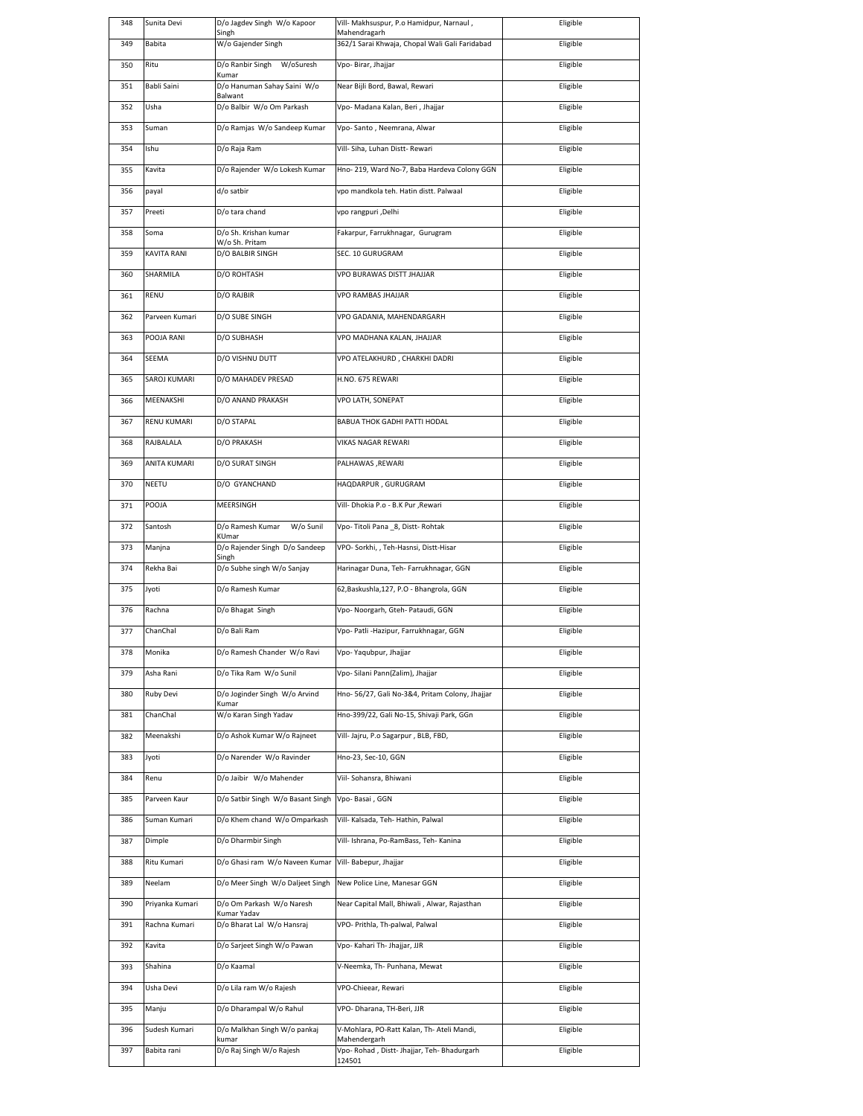| 348 | Sunita Devi     | D/o Jagdev Singh W/o Kapoor<br>Singh      | Vill- Makhsuspur, P.o Hamidpur, Narnaul,<br>Mahendragarh   | Eligible |
|-----|-----------------|-------------------------------------------|------------------------------------------------------------|----------|
| 349 | Babita          | W/o Gajender Singh                        | 362/1 Sarai Khwaja, Chopal Wali Gali Faridabad             | Eligible |
| 350 | Ritu            | D/o Ranbir Singh W/oSuresh                | Vpo- Birar, Jhajjar                                        | Eligible |
| 351 | Babli Saini     | Kumar<br>D/o Hanuman Sahay Saini W/o      | Near Bijli Bord, Bawal, Rewari                             | Eligible |
| 352 | Usha            | Balwant<br>D/o Balbir W/o Om Parkash      | Vpo- Madana Kalan, Beri , Jhajjar                          | Eligible |
| 353 | Suman           | D/o Ramjas W/o Sandeep Kumar              | Vpo-Santo, Neemrana, Alwar                                 | Eligible |
| 354 | Ishu            | D/o Raja Ram                              | Vill- Siha, Luhan Distt- Rewari                            | Eligible |
| 355 | Kavita          | D/o Rajender W/o Lokesh Kumar             | Hno- 219, Ward No-7, Baba Hardeva Colony GGN               | Eligible |
| 356 | payal           | d/o satbir                                | vpo mandkola teh. Hatin distt. Palwaal                     | Eligible |
|     |                 |                                           |                                                            |          |
| 357 | Preeti          | D/o tara chand                            | vpo rangpuri ,Delhi                                        | Eligible |
| 358 | Soma            | D/o Sh. Krishan kumar<br>W/o Sh. Pritam   | Fakarpur, Farrukhnagar, Gurugram                           | Eligible |
| 359 | KAVITA RANI     | D/O BALBIR SINGH                          | SEC. 10 GURUGRAM                                           | Eligible |
| 360 | SHARMILA        | D/O ROHTASH                               | VPO BURAWAS DISTT JHAJJAR                                  | Eligible |
| 361 | RENU            | D/O RAJBIR                                | VPO RAMBAS JHAJJAR                                         | Eligible |
| 362 | Parveen Kumari  | D/O SUBE SINGH                            | VPO GADANIA, MAHENDARGARH                                  | Eligible |
| 363 | POOJA RANI      | D/O SUBHASH                               | VPO MADHANA KALAN, JHAJJAR                                 | Eligible |
| 364 | SEEMA           | D/O VISHNU DUTT                           | VPO ATELAKHURD, CHARKHI DADRI                              | Eligible |
| 365 | SAROJ KUMARI    | D/O MAHADEV PRESAD                        | H.NO. 675 REWARI                                           | Eligible |
| 366 | MEENAKSHI       | D/O ANAND PRAKASH                         | VPO LATH, SONEPAT                                          | Eligible |
| 367 | RENU KUMARI     | D/O STAPAL                                | BABUA THOK GADHI PATTI HODAL                               | Eligible |
| 368 | RAJBALALA       | D/O PRAKASH                               | VIKAS NAGAR REWARI                                         | Eligible |
| 369 | ANITA KUMARI    | D/O SURAT SINGH                           | PALHAWAS , REWARI                                          | Eligible |
| 370 | NEETU           | D/O GYANCHAND                             | HAQDARPUR, GURUGRAM                                        | Eligible |
| 371 | POOJA           | MEERSINGH                                 | Vill- Dhokia P.o - B.K Pur , Rewari                        | Eligible |
| 372 | Santosh         | D/o Ramesh Kumar<br>W/o Sunil             | Vpo-Titoli Pana _8, Distt-Rohtak                           | Eligible |
|     |                 | KUmar                                     |                                                            |          |
| 373 | Manjna          | D/o Rajender Singh D/o Sandeep<br>Singh   | VPO- Sorkhi, , Teh-Hasnsi, Distt-Hisar                     | Eligible |
| 374 | Rekha Bai       | D/o Subhe singh W/o Sanjay                | Harinagar Duna, Teh- Farrukhnagar, GGN                     | Eligible |
| 375 | Jyoti           | D/o Ramesh Kumar                          | 62, Baskushla, 127, P.O - Bhangrola, GGN                   | Eligible |
| 376 | Rachna          | D/o Bhagat Singh                          | Vpo- Noorgarh, Gteh- Pataudi, GGN                          | Eligible |
| 377 | ChanChal        | D/o Bali Ram                              | Vpo- Patli -Hazipur, Farrukhnagar, GGN                     | Eligible |
| 378 | Monika          | D/o Ramesh Chander W/o Ravi               | Vpo-Yaqubpur, Jhajjar                                      | Eligible |
| 379 | Asha Rani       | D/o Tika Ram W/o Sunil                    | Vpo- Silani Pann(Zalim), Jhajjar                           | Eligible |
| 380 | Ruby Devi       | D/o Joginder Singh W/o Arvind<br>Kumar    | Hno- 56/27, Gali No-3&4, Pritam Colony, Jhajjar            | Eligible |
| 381 | ChanChal        | W/o Karan Singh Yadav                     | Hno-399/22, Gali No-15, Shivaji Park, GGn                  | Eligible |
| 382 | Meenakshi       | D/o Ashok Kumar W/o Rajneet               | Vill- Jajru, P.o Sagarpur, BLB, FBD,                       | Eligible |
| 383 | Jyoti           | D/o Narender W/o Ravinder                 | Hno-23, Sec-10, GGN                                        | Eligible |
| 384 | Renu            | D/o Jaibir W/o Mahender                   | Viil- Sohansra, Bhiwani                                    | Eligible |
| 385 | Parveen Kaur    | D/o Satbir Singh W/o Basant Singh         | Vpo-Basai, GGN                                             | Eligible |
| 386 | Suman Kumari    | D/o Khem chand W/o Omparkash              | Vill- Kalsada, Teh- Hathin, Palwal                         | Eligible |
| 387 | Dimple          | D/o Dharmbir Singh                        | Vill- Ishrana, Po-RamBass, Teh- Kanina                     | Eligible |
| 388 | Ritu Kumari     | D/o Ghasi ram W/o Naveen Kumar            | Vill- Babepur, Jhajjar                                     | Eligible |
| 389 | Neelam          | D/o Meer Singh W/o Daljeet Singh          | New Police Line, Manesar GGN                               | Eligible |
| 390 | Priyanka Kumari | D/o Om Parkash W/o Naresh                 | Near Capital Mall, Bhiwali, Alwar, Rajasthan               | Eligible |
| 391 | Rachna Kumari   | Kumar Yadav<br>D/o Bharat Lal W/o Hansraj | VPO- Prithla, Th-palwal, Palwal                            | Eligible |
|     |                 |                                           |                                                            |          |
| 392 | Kavita          | D/o Sarjeet Singh W/o Pawan               | Vpo- Kahari Th- Jhajjar, JJR                               | Eligible |
| 393 | Shahina         | D/o Kaamal                                | V-Neemka, Th- Punhana, Mewat                               | Eligible |
| 394 | Usha Devi       | D/o Lila ram W/o Rajesh                   | VPO-Chieear, Rewari                                        | Eligible |
| 395 | Manju           | D/o Dharampal W/o Rahul                   | VPO- Dharana, TH-Beri, JJR                                 | Eligible |
| 396 | Sudesh Kumari   | D/o Malkhan Singh W/o pankaj<br>kumar     | V-Mohlara, PO-Ratt Kalan, Th- Ateli Mandi,<br>Mahendergarh | Eligible |
| 397 | Babita rani     | D/o Raj Singh W/o Rajesh                  | Vpo- Rohad, Distt- Jhajjar, Teh- Bhadurgarh<br>124501      | Eligible |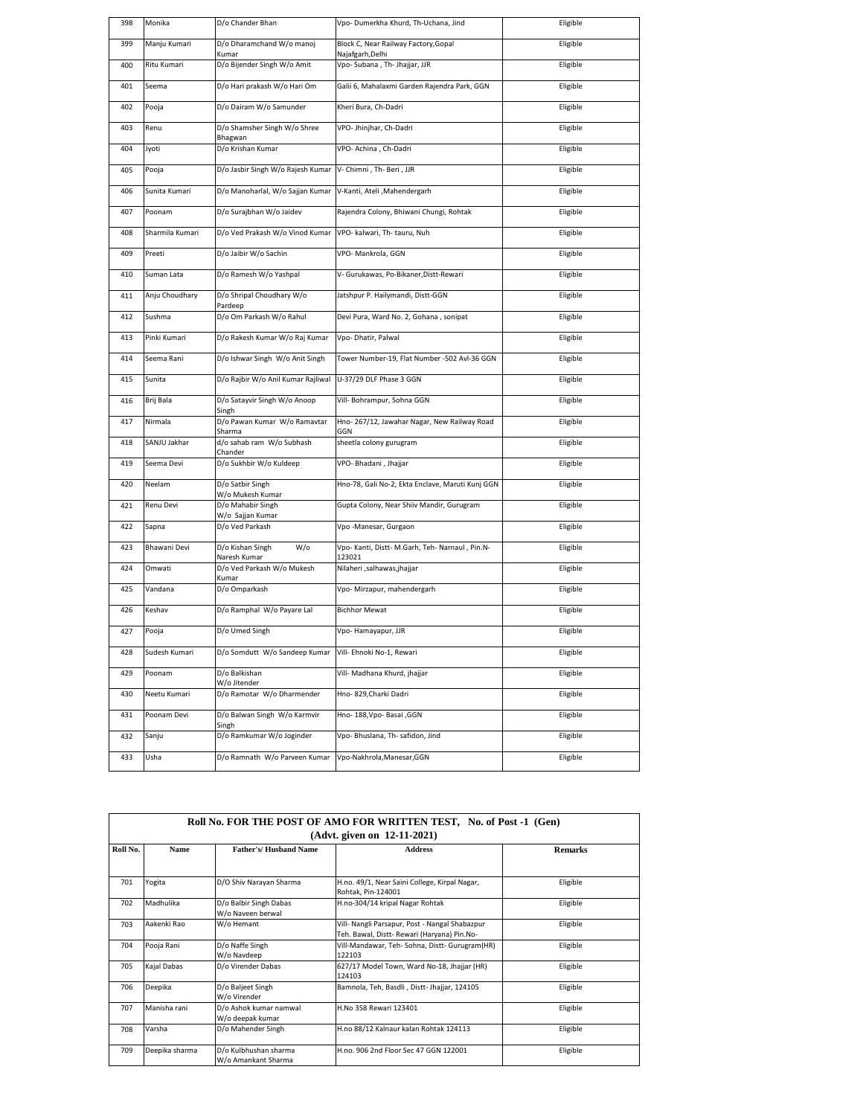| 398 | Monika          | D/o Chander Bhan                        | Vpo- Dumerkha Khurd, Th-Uchana, Jind                      | Eligible |
|-----|-----------------|-----------------------------------------|-----------------------------------------------------------|----------|
| 399 | Manju Kumari    | D/o Dharamchand W/o manoj<br>Kumar      | Block C, Near Railway Factory, Gopal<br>Najafgarh, Delhi  | Eligible |
| 400 | Ritu Kumari     | D/o Bijender Singh W/o Amit             | Vpo- Subana , Th- Jhajjar, JJR                            | Eligible |
| 401 | Seema           | D/o Hari prakash W/o Hari Om            | Galii 6, Mahalaxmi Garden Rajendra Park, GGN              | Eligible |
| 402 | Pooja           | D/o Dairam W/o Samunder                 | Kheri Bura, Ch-Dadri                                      | Eligible |
| 403 | Renu            | D/o Shamsher Singh W/o Shree<br>Bhagwan | VPO- Jhinjhar, Ch-Dadri                                   | Eligible |
| 404 | lyoti           | D/o Krishan Kumar                       | VPO- Achina, Ch-Dadri                                     | Eligible |
| 405 | Pooja           | D/o Jasbir Singh W/o Rajesh Kumar       | V- Chimni, Th- Beri, JJR                                  | Eligible |
| 406 | Sunita Kumari   | D/o Manoharlal, W/o Sajjan Kumar        | V-Kanti, Ateli , Mahendergarh                             | Eligible |
| 407 | Poonam          | D/o Surajbhan W/o Jaidev                | Rajendra Colony, Bhiwani Chungi, Rohtak                   | Eligible |
| 408 | Sharmila Kumari | D/o Ved Prakash W/o Vinod Kumar         | VPO- kalwari, Th- tauru, Nuh                              | Eligible |
| 409 | Preeti          | D/o Jaibir W/o Sachin                   | VPO- Mankrola, GGN                                        | Eligible |
| 410 | Suman Lata      | D/o Ramesh W/o Yashpal                  | V- Gurukawas, Po-Bikaner, Distt-Rewari                    | Eligible |
| 411 | Anju Choudhary  | D/o Shripal Choudhary W/o<br>Pardeep    | Jatshpur P. Hailymandi, Distt-GGN                         | Eligible |
| 412 | Sushma          | D/o Om Parkash W/o Rahul                | Devi Pura, Ward No. 2, Gohana, sonipat                    | Eligible |
| 413 | Pinki Kumari    | D/o Rakesh Kumar W/o Raj Kumar          | Vpo- Dhatir, Palwal                                       | Eligible |
| 414 | Seema Rani      | D/o Ishwar Singh W/o Anit Singh         | Tower Number-19, Flat Number -502 Avl-36 GGN              | Eligible |
| 415 | Sunita          | D/o Rajbir W/o Anil Kumar Rajliwal      | U-37/29 DLF Phase 3 GGN                                   | Eligible |
| 416 | Brij Bala       | D/o Satayvir Singh W/o Anoop<br>Singh   | Vill- Bohrampur, Sohna GGN                                | Eligible |
| 417 | Nirmala         | D/o Pawan Kumar W/o Ramavtar<br>Sharma  | Hno-267/12, Jawahar Nagar, New Railway Road<br>GGN        | Eligible |
| 418 | SANJU Jakhar    | d/o sahab ram W/o Subhash<br>Chander    | sheetla colony gurugram                                   | Eligible |
| 419 | Seema Devi      | D/o Sukhbir W/o Kuldeep                 | VPO- Bhadani, Jhajjar                                     | Eligible |
| 420 | Neelam          | D/o Satbir Singh<br>W/o Mukesh Kumar    | Hno-78, Gali No-2, Ekta Enclave, Maruti Kunj GGN          | Eligible |
| 421 | Renu Devi       | D/o Mahabir Singh<br>W/o Sajjan Kumar   | Gupta Colony, Near Shiiv Mandir, Gurugram                 | Eligible |
| 422 | Sapna           | D/o Ved Parkash                         | Vpo -Manesar, Gurgaon                                     | Eligible |
| 423 | Bhawani Devi    | D/o Kishan Singh<br>W/o<br>Naresh Kumar | Vpo- Kanti, Distt- M.Garh, Teh- Narnaul, Pin.N-<br>123021 | Eligible |
| 424 | Omwati          | D/o Ved Parkash W/o Mukesh<br>Kumar     | Nilaheri ,salhawas,jhajjar                                | Eligible |
| 425 | Vandana         | D/o Omparkash                           | Vpo- Mirzapur, mahendergarh                               | Eligible |
| 426 | Keshav          | D/o Ramphal W/o Payare Lal              | <b>Bichhor Mewat</b>                                      | Eligible |
| 427 | Pooja           | D/o Umed Singh                          | Vpo-Hamayapur, JJR                                        | Eligible |
| 428 | Sudesh Kumari   | D/o Somdutt W/o Sandeep Kumar           | Vill- Ehnoki No-1, Rewari                                 | Eligible |
| 429 | Poonam          | D/o Balkishan<br>W/o Jitender           | Vill- Madhana Khurd, jhajjar                              | Eligible |
| 430 | Neetu Kumari    | D/o Ramotar W/o Dharmender              | Hno- 829, Charki Dadri                                    | Eligible |
| 431 | Poonam Devi     | D/o Balwan Singh W/o Karmvir<br>Singh   | Hno- 188, Vpo- Basai , GGN                                | Eligible |
| 432 | Sanju           | D/o Ramkumar W/o Joginder               | Vpo- Bhuslana, Th- safidon, Jind                          | Eligible |
|     |                 |                                         |                                                           |          |
| 433 | Usha            | D/o Ramnath W/o Parveen Kumar           | Vpo-Nakhrola, Manesar, GGN                                | Eligible |

| Roll No. FOR THE POST OF AMO FOR WRITTEN TEST, No. of Post -1 (Gen)<br>$(Advt.$ given on $12-11-2021)$ |                |                                              |                                                                                               |                |
|--------------------------------------------------------------------------------------------------------|----------------|----------------------------------------------|-----------------------------------------------------------------------------------------------|----------------|
| Roll No.                                                                                               | <b>Name</b>    | <b>Father's/Husband Name</b>                 | <b>Address</b>                                                                                | <b>Remarks</b> |
| 701                                                                                                    | Yogita         | D/O Shiv Narayan Sharma                      | H.no. 49/1, Near Saini College, Kirpal Nagar,<br>Rohtak, Pin-124001                           | Eligible       |
| 702                                                                                                    | Madhulika      | D/o Balbir Singh Dabas<br>W/o Naveen berwal  | H.no-304/14 kripal Nagar Rohtak                                                               | Eligible       |
| 703                                                                                                    | Aakenki Rao    | W/o Hemant                                   | Vill- Nangli Parsapur, Post - Nangal Shabazpur<br>Teh. Bawal, Distt- Rewari (Haryana) Pin.No- | Eligible       |
| 704                                                                                                    | Pooja Rani     | D/o Naffe Singh<br>W/o Navdeep               | Vill-Mandawar, Teh- Sohna, Distt- Gurugram(HR)<br>122103                                      | Eligible       |
| 705                                                                                                    | Kajal Dabas    | D/o Virender Dabas                           | 627/17 Model Town, Ward No-18, Jhajjar (HR)<br>124103                                         | Eligible       |
| 706                                                                                                    | Deepika        | D/o Baljeet Singh<br>W/o Virender            | Bamnola, Teh, Basdli, Distt-Jhajjar, 124105                                                   | Eligible       |
| 707                                                                                                    | Manisha rani   | D/o Ashok kumar namwal<br>W/o deepak kumar   | H.No 358 Rewari 123401                                                                        | Eligible       |
| 708                                                                                                    | Varsha         | D/o Mahender Singh                           | H.no 88/12 Kalnaur kalan Rohtak 124113                                                        | Eligible       |
| 709                                                                                                    | Deepika sharma | D/o Kulbhushan sharma<br>W/o Amankant Sharma | H.no. 906 2nd Floor Sec 47 GGN 122001                                                         | Eligible       |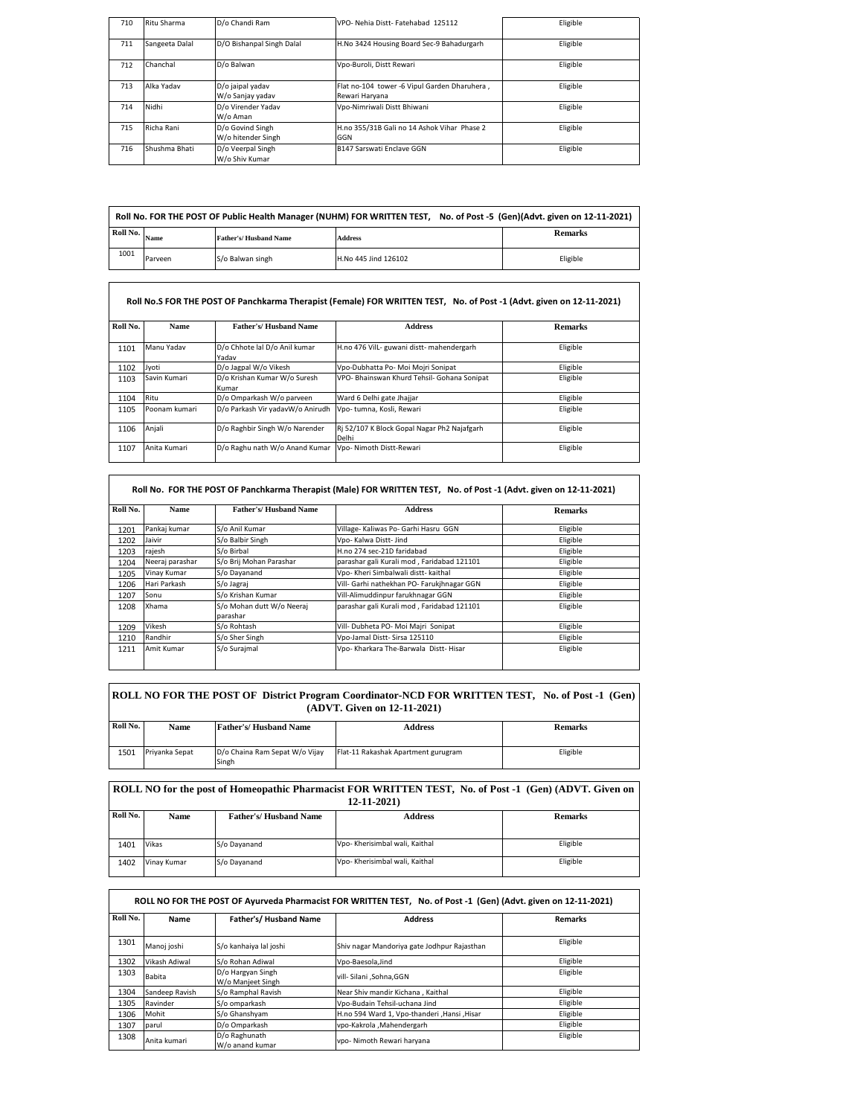| 710 | Ritu Sharma    | D/o Chandi Ram                         | VPO- Nehia Distt- Fatehabad 125112                             | Eligible |
|-----|----------------|----------------------------------------|----------------------------------------------------------------|----------|
| 711 | Sangeeta Dalal | D/O Bishanpal Singh Dalal              | H.No 3424 Housing Board Sec-9 Bahadurgarh                      | Eligible |
| 712 | Chanchal       | D/o Balwan                             | Vpo-Buroli, Distt Rewari                                       | Eligible |
| 713 | Alka Yadav     | D/o jaipal yadav<br>W/o Sanjay yadav   | Flat no-104 tower -6 Vipul Garden Dharuhera,<br>Rewari Haryana | Eligible |
| 714 | Nidhi          | D/o Virender Yadav<br>W/o Aman         | Vpo-Nimriwali Distt Bhiwani                                    | Eligible |
| 715 | Richa Rani     | D/o Govind Singh<br>W/o hitender Singh | H.no 355/31B Gali no 14 Ashok Vihar Phase 2<br>GGN             | Eligible |
| 716 | Shushma Bhati  | D/o Veerpal Singh<br>W/o Shiv Kumar    | B147 Sarswati Enclave GGN                                      | Eligible |

|          |         |                              | Roll No. FOR THE POST OF Public Health Manager (NUHM) FOR WRITTEN TEST, No. of Post -5 (Gen)(Advt. given on 12-11-2021) |                |
|----------|---------|------------------------------|-------------------------------------------------------------------------------------------------------------------------|----------------|
| Roll No. | Name    | <b>Father's/Husband Name</b> | <b>Address</b>                                                                                                          | <b>Remarks</b> |
| 1001     | Parveen | S/o Balwan singh             | H.No 445 Jind 126102                                                                                                    | Eligible       |

|          |               |                                        | Roll No.S FOR THE POST OF Panchkarma Therapist (Female) FOR WRITTEN TEST, No. of Post -1 (Advt. given on 12-11-2021) |                |  |
|----------|---------------|----------------------------------------|----------------------------------------------------------------------------------------------------------------------|----------------|--|
| Roll No. | <b>Name</b>   | Father's/Hushand Name                  | <b>Address</b>                                                                                                       | <b>Remarks</b> |  |
| 1101     | Manu Yadav    | D/o Chhote lal D/o Anil kumar<br>Yadav | H.no 476 Vill- guwani distt- mahendergarh                                                                            | Eligible       |  |
| 1102     | Jyoti         | D/o Jagpal W/o Vikesh                  | Vpo-Dubhatta Po- Moi Mojri Sonipat                                                                                   | Eligible       |  |
| 1103     | Savin Kumari  | D/o Krishan Kumar W/o Suresh<br>Kumar  | VPO- Bhainswan Khurd Tehsil- Gohana Sonipat                                                                          | Eligible       |  |
| 1104     | Ritu          | D/o Omparkash W/o parveen              | Ward 6 Delhi gate Jhajjar                                                                                            | Eligible       |  |
| 1105     | Poonam kumari | D/o Parkash Vir yadavW/o Anirudh       | Vpo- tumna, Kosli, Rewari                                                                                            | Eligible       |  |
| 1106     | Anjali        | D/o Raghbir Singh W/o Narender         | Ri 52/107 K Block Gopal Nagar Ph2 Najafgarh<br>Delhi                                                                 | Eligible       |  |
| 1107     | Anita Kumari  | D/o Raghu nath W/o Anand Kumar         | Vpo- Nimoth Distt-Rewari                                                                                             | Eligible       |  |

| Roll No. | <b>Name</b>     | Father's/Hushand Name                 | <b>Address</b>                             | <b>Remarks</b> |
|----------|-----------------|---------------------------------------|--------------------------------------------|----------------|
| 1201     | Pankaj kumar    | S/o Anil Kumar                        | Village- Kaliwas Po- Garhi Hasru GGN       | Eligible       |
| 1202     | Jaivir          | S/o Balbir Singh                      | Vpo- Kalwa Distt- Jind                     | Eligible       |
| 1203     | rajesh          | S/o Birbal                            | H.no 274 sec-21D faridabad                 | Eligible       |
| 1204     | Neeraj parashar | S/o Brij Mohan Parashar               | parashar gali Kurali mod, Faridabad 121101 | Eligible       |
| 1205     | Vinay Kumar     | S/o Dayanand                          | Vpo- Kheri Simbalwali distt- kaithal       | Eligible       |
| 1206     | Hari Parkash    | S/o Jagraj                            | Vill- Garhi nathekhan PO- Farukihnagar GGN | Eligible       |
| 1207     | Sonu            | S/o Krishan Kumar                     | Vill-Alimuddinpur farukhnagar GGN          | Eligible       |
| 1208     | Xhama           | S/o Mohan dutt W/o Neerai<br>parashar | parashar gali Kurali mod, Faridabad 121101 | Eligible       |
| 1209     | Vikesh          | S/o Rohtash                           | Vill- Dubheta PO- Moi Majri Sonipat        | Eligible       |
| 1210     | Randhir         | S/o Sher Singh                        | Vpo-Jamal Distt- Sirsa 125110              | Eligible       |
| 1211     | Amit Kumar      | S/o Surajmal                          | Vpo- Kharkara The-Barwala Distt- Hisar     | Eligible       |

| ROLL NO FOR THE POST OF District Program Coordinator-NCD FOR WRITTEN TEST, No. of Post -1 (Gen)<br>(ADVT. Given on 12-11-2021) |                |                                |                                     |                |
|--------------------------------------------------------------------------------------------------------------------------------|----------------|--------------------------------|-------------------------------------|----------------|
| Roll No.                                                                                                                       | Name           | <b>Father's/Husband Name</b>   | <b>Address</b>                      | <b>Remarks</b> |
| 1501                                                                                                                           | Priyanka Sepat | D/o Chaina Ram Sepat W/o Vijay | Flat-11 Rakashak Apartment gurugram | Eligible       |

1501 Priyanka Sepat D/o Chaina Ram Sepat W/o Vijay Singh

 $\overline{\phantom{a}}$ 

| ROLL NO for the post of Homeopathic Pharmacist FOR WRITTEN TEST, No. of Post -1 (Gen) (ADVT, Given on<br>$12 - 11 - 2021$ |             |                       |                                |                |  |
|---------------------------------------------------------------------------------------------------------------------------|-------------|-----------------------|--------------------------------|----------------|--|
| Roll No.                                                                                                                  | <b>Name</b> | Father's/Husband Name | <b>Address</b>                 | <b>Remarks</b> |  |
|                                                                                                                           |             |                       |                                |                |  |
| 1401                                                                                                                      | Vikas       | S/o Dayanand          | Vpo- Kherisimbal wali, Kaithal | Eligible       |  |
| 1402                                                                                                                      | Vinav Kumar | S/o Dayanand          | Vpo- Kherisimbal wali, Kaithal | Eligible       |  |

|          |                |                                        | ROLL NO FOR THE POST OF Ayurveda Pharmacist FOR WRITTEN TEST, No. of Post -1 (Gen) (Advt. given on 12-11-2021) |                |
|----------|----------------|----------------------------------------|----------------------------------------------------------------------------------------------------------------|----------------|
| Roll No. | Name           | Father's/Husband Name                  | <b>Address</b>                                                                                                 | <b>Remarks</b> |
| 1301     | Manoj joshi    | S/o kanhaiya lal joshi                 | Shiv nagar Mandoriya gate Jodhpur Rajasthan                                                                    | Eligible       |
| 1302     | Vikash Adiwal  | S/o Rohan Adiwal                       | Vpo-Baesola.Jind                                                                                               | Eligible       |
| 1303     | <b>Babita</b>  | D/o Hargyan Singh<br>W/o Manjeet Singh | vill- Silani .Sohna.GGN                                                                                        | Eligible       |
| 1304     | Sandeep Ravish | S/o Ramphal Ravish                     | Near Shiv mandir Kichana, Kaithal                                                                              | Eligible       |
| 1305     | Ravinder       | S/o omparkash                          | Vpo-Budain Tehsil-uchana Jind                                                                                  | Eligible       |
| 1306     | Mohit          | S/o Ghanshvam                          | H.no 594 Ward 1, Vpo-thanderi , Hansi , Hisar                                                                  | Eligible       |
| 1307     | parul          | D/o Omparkash                          | vpo-Kakrola .Mahendergarh                                                                                      | Eligible       |
| 1308     | Anita kumari   | D/o Raghunath<br>W/o anand kumar       | vpo- Nimoth Rewari haryana                                                                                     | Eligible       |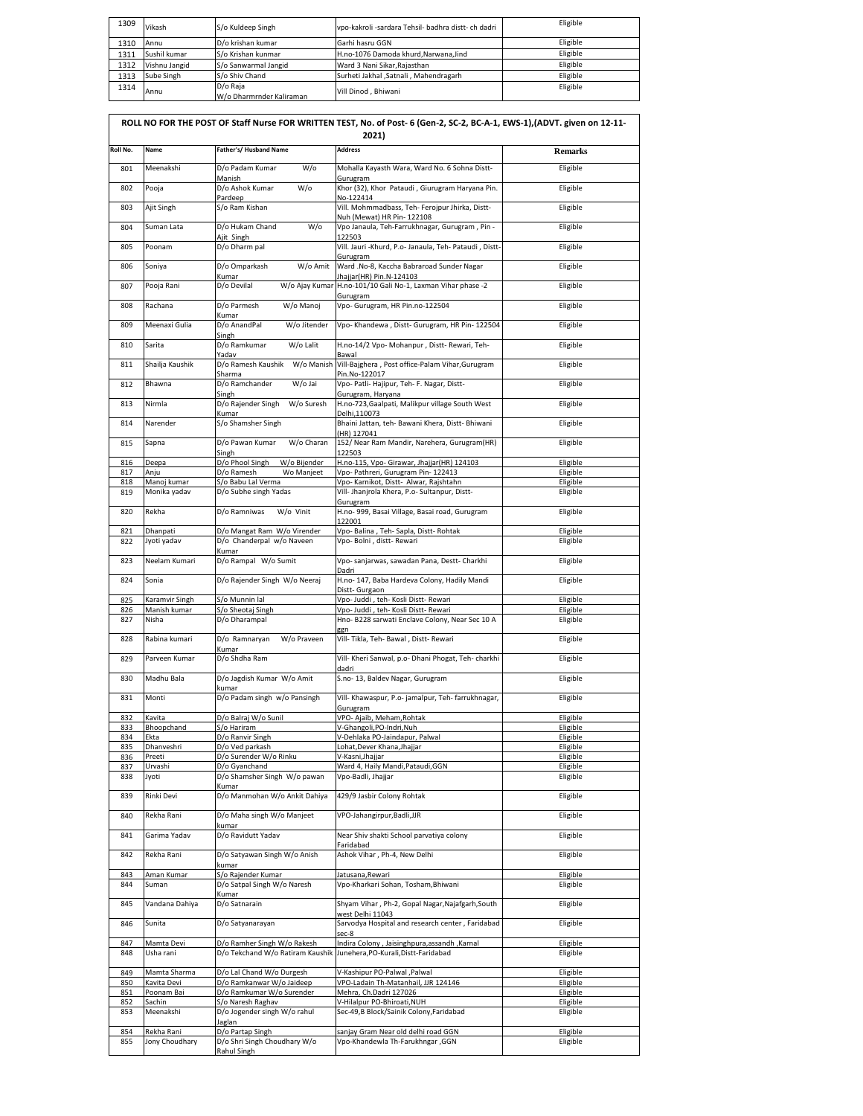| 1309 | Vikash        | S/o Kuldeep Singh                    | vpo-kakroli -sardara Tehsil- badhra distt- ch dadri | Eligible |
|------|---------------|--------------------------------------|-----------------------------------------------------|----------|
| 1310 | Annu          | D/o krishan kumar                    | Garhi hasru GGN                                     | Eligible |
| 1311 | Sushil kumar  | S/o Krishan kunmar                   | H.no-1076 Damoda khurd.Narwana.Jind                 | Eligible |
| 1312 | Vishnu Jangid | S/o Sanwarmal Jangid                 | Ward 3 Nani Sikar, Rajasthan                        | Eligible |
| 1313 | Sube Singh    | S/o Shiv Chand                       | Surheti Jakhal , Satnali , Mahendragarh             | Eligible |
| 1314 | Annu          | D/o Raia<br>W/o Dharmrnder Kaliraman | Vill Dinod . Bhiwani                                | Eligible |

|            |                              |                                                                 | ROLL NO FOR THE POST OF Staff Nurse FOR WRITTEN TEST, No. of Post- 6 (Gen-2, SC-2, BC-A-1, EWS-1),(ADVT. given on 12-11-<br>2021) |                      |
|------------|------------------------------|-----------------------------------------------------------------|-----------------------------------------------------------------------------------------------------------------------------------|----------------------|
| Roll No.   | Name                         | Father's/ Husband Name                                          | <b>Address</b>                                                                                                                    | <b>Remarks</b>       |
| 801        | Meenakshi                    | D/o Padam Kumar<br>W/o                                          | Mohalla Kayasth Wara, Ward No. 6 Sohna Distt-                                                                                     | Eligible             |
| 802        | Pooja                        | Manish<br>W/o<br>D/o Ashok Kumar<br>Pardeep                     | Gurugram<br>Khor (32), Khor Pataudi, Giurugram Haryana Pin.                                                                       | Eligible             |
| 803        | Ajit Singh                   | S/o Ram Kishan                                                  | No-122414<br>Vill. Mohmmadbass, Teh- Ferojpur Jhirka, Distt-                                                                      | Eligible             |
| 804        | Suman Lata                   | D/o Hukam Chand<br>W/o                                          | Nuh (Mewat) HR Pin-122108<br>Vpo Janaula, Teh-Farrukhnagar, Gurugram, Pin -                                                       | Eligible             |
| 805        | Poonam                       | Ajit Singh<br>D/o Dharm pal                                     | 122503<br>Vill. Jauri -Khurd, P.o- Janaula, Teh- Pataudi, Distt-                                                                  | Eligible             |
| 806        | Soniya                       | D/o Omparkash<br>W/o Amit                                       | Gurugram<br>Ward .No-8, Kaccha Babraroad Sunder Nagar                                                                             | Eligible             |
| 807        | Pooja Rani                   | Kumar<br>D/o Devilal                                            | Jhajjar(HR) Pin.N-124103<br>W/o Ajay Kumar H.no-101/10 Gali No-1, Laxman Vihar phase -2                                           | Eligible             |
| 808        | Rachana                      | D/o Parmesh<br>W/o Manoj                                        | Gurugram<br>Vpo- Gurugram, HR Pin.no-122504                                                                                       | Eligible             |
| 809        | Meenaxi Gulia                | Kumar<br>D/o AnandPal<br>W/o Jitender                           | Vpo- Khandewa, Distt- Gurugram, HR Pin- 122504                                                                                    | Eligible             |
| 810        | Sarita                       | Singh<br>D/o Ramkumar<br>W/o Lalit                              | H.no-14/2 Vpo- Mohanpur, Distt- Rewari, Teh-                                                                                      | Eligible             |
| 811        | Shailja Kaushik              | Yadav<br>D/o Ramesh Kaushik                                     | Bawal<br>W/o Manish Vill-Bajghera , Post office-Palam Vihar, Gurugram                                                             | Eligible             |
| 812        | Bhawna                       | Sharma<br>D/o Ramchander<br>W/o Jai                             | Pin.No-122017<br>Vpo- Patli- Hajipur, Teh- F. Nagar, Distt-                                                                       | Eligible             |
| 813        | Nirmla                       | Singh<br>D/o Rajender Singh<br>W/o Suresh                       | Gurugram, Haryana<br>H.no-723, Gaalpati, Malikpur village South West                                                              | Eligible             |
| 814        | Narender                     | Kumar<br>S/o Shamsher Singh                                     | Delhi.110073<br>Bhaini Jattan, teh- Bawani Khera, Distt- Bhiwani                                                                  | Eligible             |
| 815        | Sapna                        | D/o Pawan Kumar<br>W/o Charan                                   | (HR) 127041<br>152/ Near Ram Mandir, Narehera, Gurugram(HR)                                                                       | Eligible             |
| 816        | Deepa                        | Singh<br>D/o Phool Singh<br>W/o Bijender                        | 122503<br>H.no-115, Vpo- Girawar, Jhajjar(HR) 124103                                                                              | Eligible             |
| 817        | Anju                         | D/o Ramesh<br>Wo Manjeet                                        | Vpo- Pathreri, Gurugram Pin- 122413                                                                                               | Eligible             |
| 818<br>819 | Manoj kumar<br>Monika yadav  | S/o Babu Lal Verma<br>D/o Subhe singh Yadas                     | Vpo- Karnikot, Distt- Alwar, Rajshtahn<br>Vill- Jhanjrola Khera, P.o- Sultanpur, Distt-                                           | Eligible<br>Eligible |
| 820        | Rekha                        | D/o Ramniwas<br>W/o Vinit                                       | Gurugram<br>H.no- 999, Basai Village, Basai road, Gurugram                                                                        | Eligible             |
| 821        | Dhanpati                     | D/o Mangat Ram W/o Virender                                     | 122001<br>Vpo- Balina, Teh- Sapla, Distt- Rohtak                                                                                  | Eligible             |
| 822        | Jyoti yadav                  | D/o Chanderpal w/o Naveen                                       | Vpo- Bolni, distt- Rewari                                                                                                         | Eligible             |
| 823        | Neelam Kumari                | Kumar<br>D/o Rampal W/o Sumit                                   | Vpo- sanjarwas, sawadan Pana, Destt- Charkhi                                                                                      | Eligible             |
| 824        | Sonia                        | D/o Rajender Singh W/o Neeraj                                   | Dadri<br>H.no- 147, Baba Hardeva Colony, Hadily Mandi                                                                             | Eligible             |
| 825        | Karamvir Singh               | S/o Munnin lal                                                  | Distt- Gurgaon<br>Vpo- Juddi, teh- Kosli Distt- Rewari                                                                            | Eligible             |
| 826        | Manish kumar                 | S/o Sheotaj Singh                                               | Vpo- Juddi, teh- Kosli Distt- Rewari                                                                                              | Eligible             |
| 827        | Nisha                        | D/o Dharampal                                                   | Hno- B228 sarwati Enclave Colony, Near Sec 10 A<br>ggn                                                                            | Eligible             |
| 828        | Rabina kumari                | D/o Ramnaryan<br>W/o Praveen<br>Kumar                           | Vill- Tikla, Teh- Bawal, Distt- Rewari                                                                                            | Eligible             |
| 829        | Parveen Kumar                | D/o Shdha Ram                                                   | Vill- Kheri Sanwal, p.o- Dhani Phogat, Teh- charkhi<br>dadri                                                                      | Eligible             |
| 830        | Madhu Bala                   | D/o Jagdish Kumar W/o Amit<br>kumar                             | S.no-13, Baldev Nagar, Gurugram                                                                                                   | Eligible             |
| 831        | Monti                        | D/o Padam singh w/o Pansingh                                    | Vill- Khawaspur, P.o- jamalpur, Teh- farrukhnagar,<br>Gurugram                                                                    | Eligible             |
| 832<br>833 | Kavita<br>Bhoopchand         | D/o Balraj W/o Sunil<br>S/o Hariram                             | VPO- Ajaib, Meham, Rohtak<br>V-Ghangoli, PO-Indri, Nuh                                                                            | Eligible<br>Eligible |
| 834        | Ekta                         | D/o Ranvir Singh                                                | V-Dehlaka PO-Jaindapur, Palwal                                                                                                    | Eligible             |
| 835        | Dhanveshri                   | D/o Ved parkash                                                 | Lohat, Dever Khana, Jhajjar                                                                                                       | Eligible             |
| 836        | Preeti                       | D/o Surender W/o Rinku                                          | V-Kasni, Jhajjar                                                                                                                  | Eligible             |
| 837        | Urvashi                      | D/o Gyanchand                                                   | Ward 4, Haily Mandi, Pataudi, GGN                                                                                                 | Eligible             |
| 838        | Jyoti                        | D/o Shamsher Singh W/o pawan<br>Kumar                           | Vpo-Badli, Jhajjar                                                                                                                | Eligible             |
| 839        | Rinki Devi                   | D/o Manmohan W/o Ankit Dahiya                                   | 429/9 Jasbir Colony Rohtak                                                                                                        | Eligible             |
| 840        | Rekha Rani                   | D/o Maha singh W/o Manjeet<br>kumar                             | VPO-Jahangirpur, Badli, JJR                                                                                                       | Eligible             |
| 841<br>842 | Garima Yadav<br>Rekha Rani   | D/o Ravidutt Yadav                                              | Near Shiv shakti School parvatiya colony<br>Faridabad<br>Ashok Vihar, Ph-4, New Delhi                                             | Eligible<br>Eligible |
|            |                              | D/o Satyawan Singh W/o Anish<br>kumar                           |                                                                                                                                   |                      |
| 843<br>844 | Aman Kumar<br>Suman          | S/o Rajender Kumar<br>D/o Satpal Singh W/o Naresh<br>Kumar      | Jatusana, Rewari<br>Vpo-Kharkari Sohan, Tosham, Bhiwani                                                                           | Eligible<br>Eligible |
| 845        | Vandana Dahiya               | D/o Satnarain                                                   | Shyam Vihar, Ph-2, Gopal Nagar, Najafgarh, South<br>west Delhi 11043                                                              | Eligible             |
| 846        | Sunita                       | D/o Satyanarayan                                                | Sarvodya Hospital and research center, Faridabad<br>sec-8                                                                         | Eligible             |
| 847<br>848 | Mamta Devi<br>Usha rani      | D/o Ramher Singh W/o Rakesh<br>D/o Tekchand W/o Ratiram Kaushik | Indira Colony, Jaisinghpura, assandh, Karnal<br>Junehera, PO-Kurali, Distt-Faridabad                                              | Eligible<br>Eligible |
| 849        | Mamta Sharma                 | D/o Lal Chand W/o Durgesh                                       | V-Kashipur PO-Palwal , Palwal                                                                                                     | Eligible             |
| 850        | Kavita Devi                  | D/o Ramkanwar W/o Jaideep                                       | VPO-Ladain Th-Matanhail, JJR 124146                                                                                               | Eligible             |
| 851        | Poonam Bai                   | D/o Ramkumar W/o Surender                                       | Mehra, Ch.Dadri 127026                                                                                                            | Eligible             |
| 852        | Sachin                       | S/o Naresh Raghav                                               | V-Hilalpur PO-Bhiroati, NUH                                                                                                       | Eligible             |
| 853        | Meenakshi                    | D/o Jogender singh W/o rahul<br>Jaglan                          | Sec-49,B Block/Sainik Colony,Faridabad                                                                                            | Eligible             |
| 854<br>855 | Rekha Rani<br>Jony Choudhary | D/o Partap Singh<br>D/o Shri Singh Choudhary W/o<br>Rahul Singh | sanjay Gram Near old delhi road GGN<br>Vpo-Khandewla Th-Farukhngar , GGN                                                          | Eligible<br>Eligible |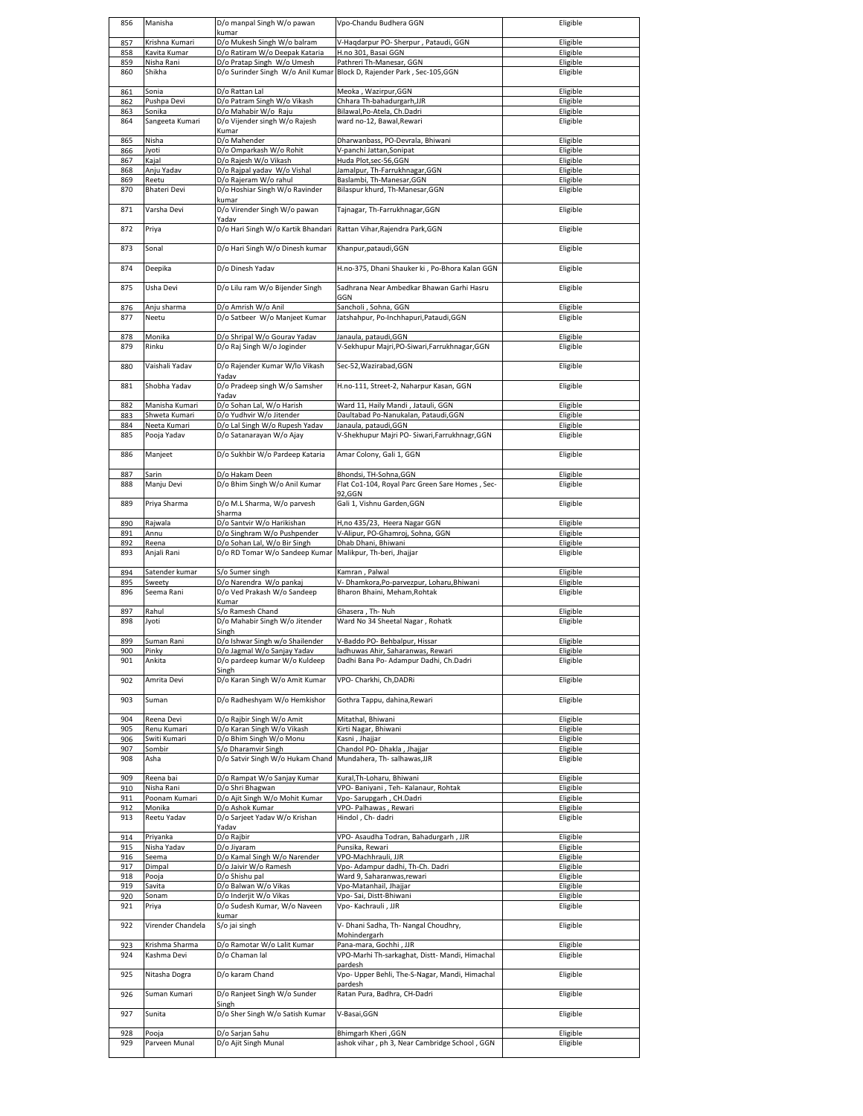| 856        | Manisha                     | D/o manpal Singh W/o pawan                                     | Vpo-Chandu Budhera GGN                                                    | Eligible             |
|------------|-----------------------------|----------------------------------------------------------------|---------------------------------------------------------------------------|----------------------|
| 857        | Krishna Kumari              | kumar<br>D/o Mukesh Singh W/o balram                           | V-Haqdarpur PO- Sherpur, Pataudi, GGN                                     | Eligible             |
| 858        | Kavita Kumar                | D/o Ratiram W/o Deepak Kataria                                 | H.no 301, Basai GGN                                                       | Eligible             |
| 859        | Nisha Rani                  | D/o Pratap Singh W/o Umesh                                     | Pathreri Th-Manesar, GGN                                                  | Eligible             |
| 860        | Shikha                      | D/o Surinder Singh W/o Anil Kumar                              | Block D, Rajender Park, Sec-105,GGN                                       | Eligible             |
| 861        | Sonia                       | D/o Rattan Lal                                                 | Meoka, Wazirpur, GGN                                                      | Eligible             |
| 862        | Pushpa Devi                 | D/o Patram Singh W/o Vikash                                    | Chhara Th-bahadurgarh, JJR                                                | Eligible             |
| 863        | Sonika                      | D/o Mahabir W/o Raju                                           | Bilawal, Po-Atela, Ch.Dadri                                               | Eligible             |
| 864        | Sangeeta Kumari             | D/o Vijender singh W/o Rajesh                                  | ward no-12, Bawal, Rewari                                                 | Eligible             |
|            | Nisha                       | Kumar<br>D/o Mahender                                          | Dharwanbass, PO-Devrala, Bhiwani                                          | Eligible             |
| 865<br>866 | Jyoti                       | D/o Omparkash W/o Rohit                                        | V-panchi Jattan, Sonipat                                                  | Eligible             |
| 867        | Kajal                       | D/o Rajesh W/o Vikash                                          | Huda Plot, sec-56, GGN                                                    | Eligible             |
| 868        | Anju Yadav                  | D/o Rajpal yadav W/o Vishal                                    | Jamalpur, Th-Farrukhnagar, GGN                                            | Eligible             |
| 869        | Reetu                       | D/o Rajeram W/o rahul                                          | Baslambi, Th-Manesar, GGN                                                 | Eligible             |
| 870        | <b>Bhateri Devi</b>         | D/o Hoshiar Singh W/o Ravinder<br>kumar                        | Bilaspur khurd, Th-Manesar, GGN                                           | Eligible             |
| 871        | Varsha Devi                 | D/o Virender Singh W/o pawan                                   | Tajnagar, Th-Farrukhnagar, GGN                                            | Eligible             |
|            |                             | Yadav                                                          |                                                                           |                      |
| 872        | Priya                       | D/o Hari Singh W/o Kartik Bhandari                             | Rattan Vihar, Rajendra Park, GGN                                          | Eligible             |
| 873        | Sonal                       | D/o Hari Singh W/o Dinesh kumar                                | Khanpur, pataudi, GGN                                                     | Eligible             |
|            |                             |                                                                |                                                                           |                      |
| 874        | Deepika                     | D/o Dinesh Yadav                                               | H.no-375, Dhani Shauker ki, Po-Bhora Kalan GGN                            | Eligible             |
|            |                             |                                                                |                                                                           |                      |
| 875        | Usha Devi                   | D/o Lilu ram W/o Bijender Singh                                | Sadhrana Near Ambedkar Bhawan Garhi Hasru<br>GGN                          | Eligible             |
| 876        | Anju sharma                 | D/o Amrish W/o Anil                                            | Sancholi, Sohna, GGN                                                      | Eligible             |
| 877        | Neetu                       | D/o Satbeer W/o Manjeet Kumar                                  | Jatshahpur, Po-Inchhapuri, Pataudi, GGN                                   | Eligible             |
|            |                             |                                                                |                                                                           |                      |
| 878<br>879 | Monika<br>Rinku             | D/o Shripal W/o Gourav Yadav                                   | Janaula, pataudi, GGN<br>V-Sekhupur Majri, PO-Siwari, Farrukhnagar, GGN   | Eligible<br>Eligible |
|            |                             | D/o Raj Singh W/o Joginder                                     |                                                                           |                      |
| 880        | Vaishali Yadav              | D/o Rajender Kumar W/lo Vikash                                 | Sec-52, Wazirabad, GGN                                                    | Eligible             |
|            |                             | Yadav                                                          |                                                                           |                      |
| 881        | Shobha Yadav                | D/o Pradeep singh W/o Samsher<br>Yadav                         | H.no-111, Street-2, Naharpur Kasan, GGN                                   | Eligible             |
| 882        | Manisha Kumari              | D/o Sohan Lal, W/o Harish                                      | Ward 11, Haily Mandi, Jatauli, GGN                                        | Eligible             |
| 883        | Shweta Kumari               | D/o Yudhvir W/o Jitender                                       | Daultabad Po-Nanukalan, Pataudi, GGN                                      | Eligible             |
| 884        | Neeta Kumari                | D/o Lal Singh W/o Rupesh Yadav                                 | Janaula, pataudi, GGN                                                     | Eligible             |
| 885        | Pooja Yadav                 | D/o Satanarayan W/o Ajay                                       | V-Shekhupur Majri PO- Siwari, Farrukhnagr, GGN                            | Eligible             |
| 886        | Manjeet                     | D/o Sukhbir W/o Pardeep Kataria                                | Amar Colony, Gali 1, GGN                                                  | Eligible             |
|            |                             |                                                                |                                                                           |                      |
| 887        | Sarin                       | D/o Hakam Deen                                                 | Bhondsi, TH-Sohna, GGN                                                    | Eligible             |
| 888        | Manju Devi                  | D/o Bhim Singh W/o Anil Kumar                                  | Flat Co1-104, Royal Parc Green Sare Homes, Sec-<br>92,GGN                 | Eligible             |
| 889        | Priya Sharma                | D/o M.L Sharma, W/o parvesh                                    | Gali 1, Vishnu Garden, GGN                                                | Eligible             |
|            |                             | Sharma                                                         |                                                                           |                      |
| 890        | Rajwala                     | D/o Santvir W/o Harikishan                                     | H,no 435/23, Heera Nagar GGN                                              | Eligible             |
| 891<br>892 | Annu<br>Reena               | D/o Singhram W/o Pushpender<br>D/o Sohan Lal, W/o Bir Singh    | V-Alipur, PO-Ghamroj, Sohna, GGN<br>Dhab Dhani, Bhiwani                   | Eligible<br>Eligible |
| 893        | Anjali Rani                 | D/o RD Tomar W/o Sandeep Kumar                                 | Malikpur, Th-beri, Jhajjar                                                | Eligible             |
|            |                             |                                                                |                                                                           |                      |
| 894        | Satender kumar              | S/o Sumer singh                                                | Kamran, Palwal                                                            | Eligible             |
| 895<br>896 | Sweety<br>Seema Rani        | D/o Narendra W/o pankaj<br>D/o Ved Prakash W/o Sandeep         | V-Dhamkora, Po-parvezpur, Loharu, Bhiwani<br>Bharon Bhaini, Meham, Rohtak | Eligible<br>Eligible |
|            |                             | Kumar                                                          |                                                                           |                      |
| 897        | Rahul                       | S/o Ramesh Chand                                               | Ghasera, Th-Nuh                                                           |                      |
|            |                             |                                                                | Ward No 34 Sheetal Nagar, Rohatk                                          | Eligible             |
| 898        | Jyoti                       | D/o Mahabir Singh W/o Jitender                                 |                                                                           | Eligible             |
|            |                             | Singh                                                          |                                                                           |                      |
| 899<br>Уυс | Suman Rani<br>Pinky         | D/o Ishwar Singh w/o Shailender<br>D/o Jagmal W/o Sanjay Yadav | V-Baddo PO- Behbalpur, Hissar<br>ladhuwas Ahir, Saharanwas, Rewari        | Eligible<br>Fligible |
| 901        | Ankita                      | D/o pardeep kumar W/o Kuldeep                                  | Dadhi Bana Po- Adampur Dadhi, Ch.Dadri                                    | Eligible             |
|            |                             | Singh                                                          |                                                                           |                      |
| 902        | Amrita Devi                 | D/o Karan Singh W/o Amit Kumar                                 | VPO- Charkhi, Ch, DADRi                                                   | Eligible             |
| 903        | Suman                       | D/o Radheshyam W/o Hemkishor                                   | Gothra Tappu, dahina, Rewari                                              | Eligible             |
|            |                             |                                                                |                                                                           |                      |
| 904        | Reena Devi                  | D/o Rajbir Singh W/o Amit                                      | Mitathal, Bhiwani                                                         | Eligible             |
| 905<br>906 | Renu Kumari<br>Switi Kumari | D/o Karan Singh W/o Vikash<br>D/o Bhim Singh W/o Monu          | Kirti Nagar, Bhiwani<br>Kasni, Jhajjar                                    | Eligible<br>Eligible |
| 907        | Sombir                      | S/o Dharamvir Singh                                            | Chandol PO- Dhakla, Jhajjar                                               | Eligible             |
| 908        | Asha                        | D/o Satvir Singh W/o Hukam Chand                               | Mundahera, Th- salhawas, JJR                                              | Eligible             |
|            |                             |                                                                |                                                                           |                      |
| 909        | Reena bai                   | D/o Rampat W/o Sanjay Kumar                                    | Kural, Th-Loharu, Bhiwani                                                 | Eligible             |
| 910<br>911 | Nisha Rani<br>Poonam Kumari | D/o Shri Bhagwan<br>D/o Ajit Singh W/o Mohit Kumar             | VPO- Baniyani, Teh- Kalanaur, Rohtak<br>Vpo-Sarupgarh, CH.Dadri           | Eligible<br>Eligible |
| 912        | Monika                      | D/o Ashok Kumar                                                | VPO- Palhawas, Rewari                                                     | Eligible             |
| 913        | Reetu Yadav                 | D/o Sarjeet Yadav W/o Krishan                                  | Hindol, Ch-dadri                                                          | Eligible             |
| 914        | Priyanka                    | Yadav<br>D/o Rajbir                                            | VPO- Asaudha Todran, Bahadurgarh, JJR                                     | Eligible             |
| 915        | Nisha Yadav                 | D/o Jiyaram                                                    | Punsika, Rewari                                                           | Eligible             |
| 916        | Seema                       | D/o Kamal Singh W/o Narender                                   | VPO-Machhrauli, JJR                                                       | Eligible             |
| 917        | Dimpal                      | D/o Jaivir W/o Ramesh                                          | Vpo- Adampur dadhi, Th-Ch. Dadri                                          | Eligible             |
| 918        | Pooja<br>Savita             | D/o Shishu pal                                                 | Ward 9, Saharanwas, rewari                                                | Eligible             |
| 919<br>920 | Sonam                       | D/o Balwan W/o Vikas<br>D/o Inderjit W/o Vikas                 | Vpo-Matanhail, Jhajjar<br>Vpo-Sai, Distt-Bhiwani                          | Eligible<br>Eligible |
| 921        | Priya                       | D/o Sudesh Kumar, W/o Naveen                                   | Vpo- Kachrauli, JJR                                                       | Eligible             |
|            |                             | kumar                                                          |                                                                           |                      |
| 922        | Virender Chandela           | S/o jai singh                                                  | V- Dhani Sadha, Th- Nangal Choudhry,<br>Mohindergarh                      | Eligible             |
| 923        | Krishma Sharma              | D/o Ramotar W/o Lalit Kumar                                    | Pana-mara, Gochhi, JJR                                                    | Eligible             |
| 924        | Kashma Devi                 | D/o Chaman lal                                                 | VPO-Marhi Th-sarkaghat, Distt- Mandi, Himachal                            | Eligible             |
|            |                             |                                                                | pardesh                                                                   |                      |
| 925        | Nitasha Dogra               | D/o karam Chand                                                | Vpo- Upper Behli, The-S-Nagar, Mandi, Himachal<br>pardesh                 | Eligible             |
| 926        | Suman Kumari                | D/o Ranjeet Singh W/o Sunder                                   | Ratan Pura, Badhra, CH-Dadri                                              | Eligible             |
|            |                             | Singh                                                          |                                                                           |                      |
| 927        | Sunita                      | D/o Sher Singh W/o Satish Kumar                                | V-Basai, GGN                                                              | Eligible             |
| 928        | Pooja                       | D/o Sarjan Sahu                                                | <b>Bhimgarh Kheri</b> , GGN                                               | Eligible             |
| 929        | Parveen Munal               | D/o Ajit Singh Munal                                           | ashok vihar, ph 3, Near Cambridge School, GGN                             | Eligible             |